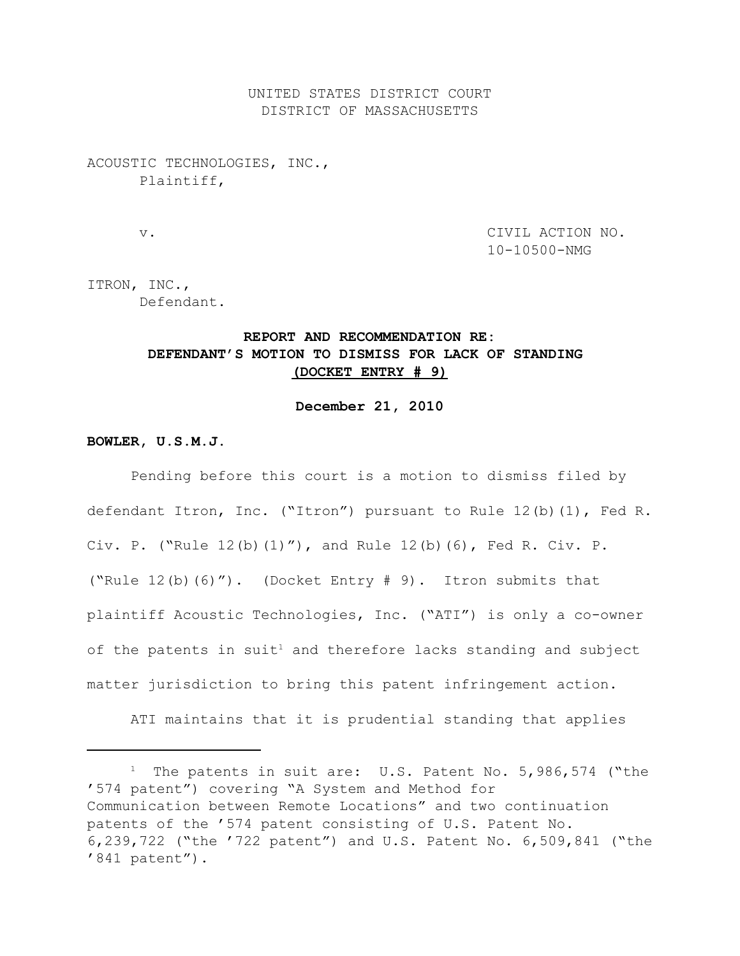UNITED STATES DISTRICT COURT DISTRICT OF MASSACHUSETTS

## ACOUSTIC TECHNOLOGIES, INC., Plaintiff,

 v. CIVIL ACTION NO. 10-10500-NMG

ITRON, INC., Defendant.

# **REPORT AND RECOMMENDATION RE: DEFENDANT'S MOTION TO DISMISS FOR LACK OF STANDING (DOCKET ENTRY # 9)**

#### **December 21, 2010**

## **BOWLER, U.S.M.J.**

Pending before this court is a motion to dismiss filed by defendant Itron, Inc. ("Itron") pursuant to Rule 12(b)(1), Fed R. Civ. P. ("Rule 12(b)(1)"), and Rule 12(b)(6), Fed R. Civ. P. ("Rule  $12(b)$  (6)"). (Docket Entry  $# 9$ ). Itron submits that plaintiff Acoustic Technologies, Inc. ("ATI") is only a co-owner of the patents in suit<sup>1</sup> and therefore lacks standing and subject matter jurisdiction to bring this patent infringement action.

ATI maintains that it is prudential standing that applies

<sup>&</sup>lt;sup>1</sup> The patents in suit are: U.S. Patent No. 5,986,574 ("the '574 patent") covering "A System and Method for Communication between Remote Locations" and two continuation patents of the '574 patent consisting of U.S. Patent No. 6,239,722 ("the '722 patent") and U.S. Patent No. 6,509,841 ("the '841 patent").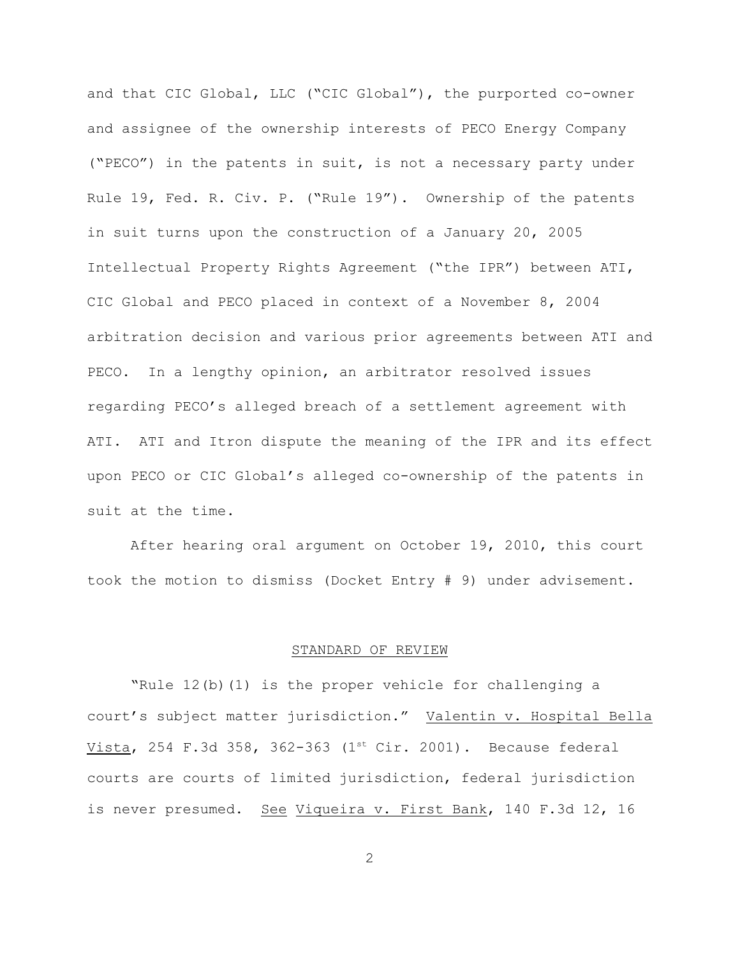and that CIC Global, LLC ("CIC Global"), the purported co-owner and assignee of the ownership interests of PECO Energy Company ("PECO") in the patents in suit, is not a necessary party under Rule 19, Fed. R. Civ. P. ("Rule 19"). Ownership of the patents in suit turns upon the construction of a January 20, 2005 Intellectual Property Rights Agreement ("the IPR") between ATI, CIC Global and PECO placed in context of a November 8, 2004 arbitration decision and various prior agreements between ATI and PECO. In a lengthy opinion, an arbitrator resolved issues regarding PECO's alleged breach of a settlement agreement with ATI. ATI and Itron dispute the meaning of the IPR and its effect upon PECO or CIC Global's alleged co-ownership of the patents in suit at the time.

After hearing oral argument on October 19, 2010, this court took the motion to dismiss (Docket Entry # 9) under advisement.

#### STANDARD OF REVIEW

 "Rule 12(b)(1) is the proper vehicle for challenging a court's subject matter jurisdiction." Valentin v. Hospital Bella Vista, 254 F.3d 358, 362-363 ( $1<sup>st</sup> Cir. 2001$ ). Because federal courts are courts of limited jurisdiction, federal jurisdiction is never presumed. See Viqueira v. First Bank, 140 F.3d 12, 16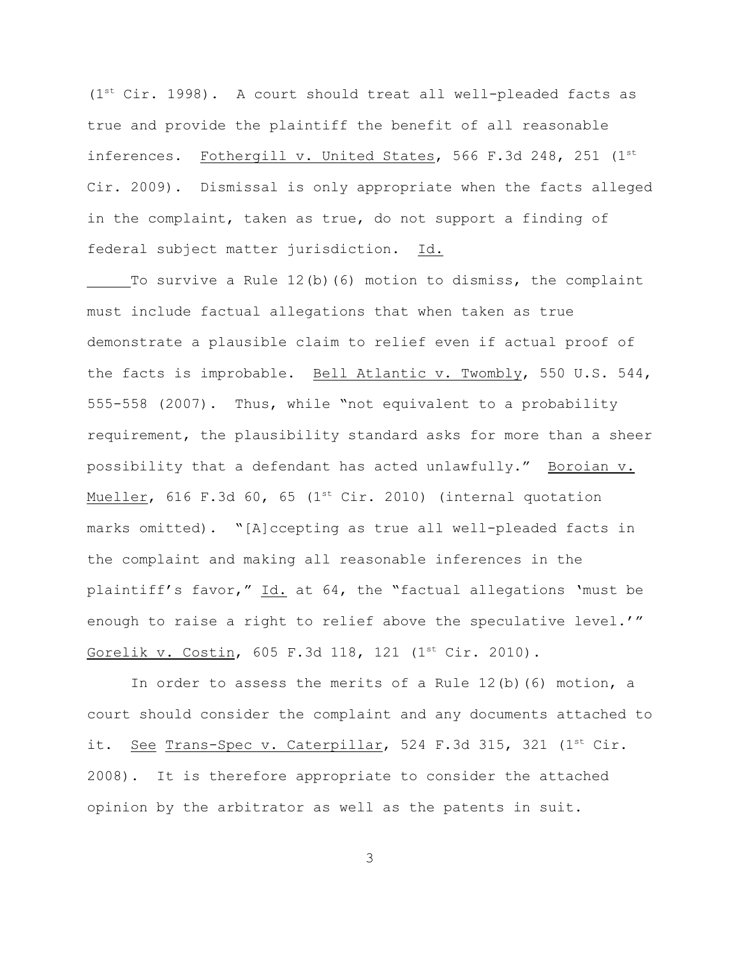$(1<sup>st</sup> Cir. 1998)$ . A court should treat all well-pleaded facts as true and provide the plaintiff the benefit of all reasonable inferences. Fothergill v. United States, 566 F.3d 248, 251  $(1^{st}$ Cir. 2009). Dismissal is only appropriate when the facts alleged in the complaint, taken as true, do not support a finding of federal subject matter jurisdiction. Id.

To survive a Rule 12(b)(6) motion to dismiss, the complaint must include factual allegations that when taken as true demonstrate a plausible claim to relief even if actual proof of the facts is improbable. Bell Atlantic v. Twombly, 550 U.S. 544, 555-558 (2007). Thus, while "not equivalent to a probability requirement, the plausibility standard asks for more than a sheer possibility that a defendant has acted unlawfully." Boroian v. Mueller, 616 F.3d 60, 65 (1st Cir. 2010) (internal quotation marks omitted). "[A]ccepting as true all well-pleaded facts in the complaint and making all reasonable inferences in the plaintiff's favor," Id. at 64, the "factual allegations 'must be enough to raise a right to relief above the speculative level.'" Gorelik v. Costin, 605 F.3d 118, 121 (1st Cir. 2010).

In order to assess the merits of a Rule  $12(b)$  (6) motion, a court should consider the complaint and any documents attached to it. See Trans-Spec v. Caterpillar, 524 F.3d 315, 321 ( $1<sup>st</sup> Cir.$ 2008). It is therefore appropriate to consider the attached opinion by the arbitrator as well as the patents in suit.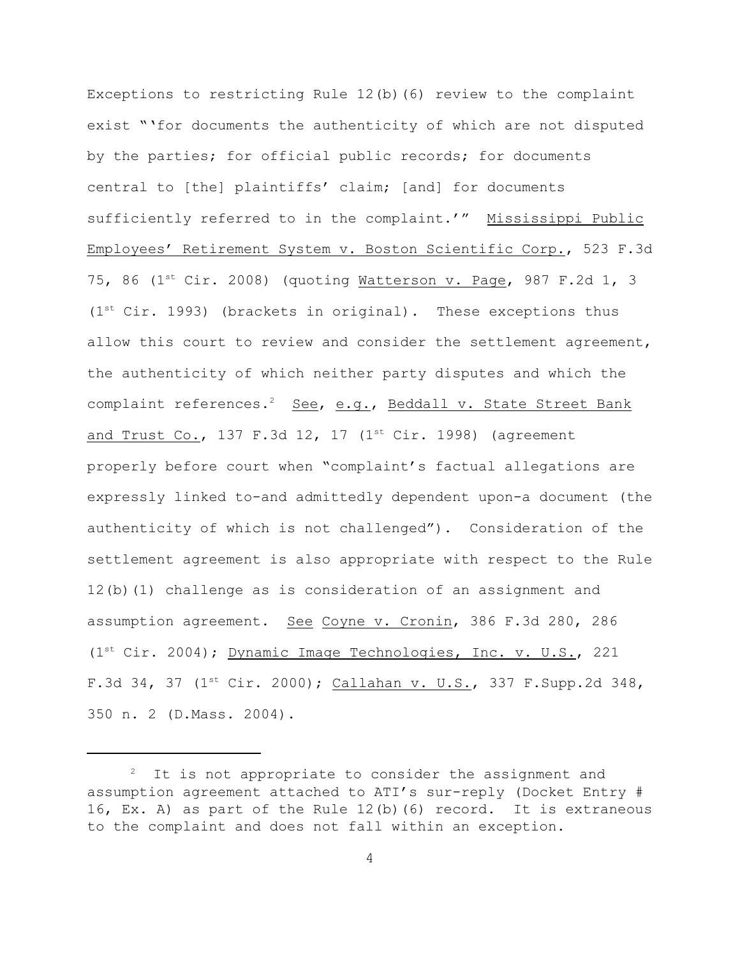Exceptions to restricting Rule 12(b)(6) review to the complaint exist "'for documents the authenticity of which are not disputed by the parties; for official public records; for documents central to [the] plaintiffs' claim; [and] for documents sufficiently referred to in the complaint.'" Mississippi Public Employees' Retirement System v. Boston Scientific Corp., 523 F.3d 75, 86 ( $1^{st}$  Cir. 2008) (quoting Watterson v. Page, 987 F.2d 1, 3  $(1<sup>st</sup> Cir. 1993)$  (brackets in original). These exceptions thus allow this court to review and consider the settlement agreement, the authenticity of which neither party disputes and which the complaint references.<sup>2</sup> See, e.g., Beddall v. State Street Bank and Trust Co., 137 F.3d 12, 17  $(1<sup>st</sup> Cir. 1998)$  (agreement properly before court when "complaint's factual allegations are expressly linked to-and admittedly dependent upon-a document (the authenticity of which is not challenged"). Consideration of the settlement agreement is also appropriate with respect to the Rule 12(b)(1) challenge as is consideration of an assignment and assumption agreement. See Coyne v. Cronin, 386 F.3d 280, 286 ( $1<sup>st</sup> Cir. 2004$ ); Dynamic Image Technologies, Inc. v. U.S., 221 F.3d 34, 37 ( $1^{st}$  Cir. 2000); Callahan v. U.S., 337 F.Supp.2d 348, 350 n. 2 (D.Mass. 2004).

 $2$  It is not appropriate to consider the assignment and assumption agreement attached to ATI's sur-reply (Docket Entry # 16, Ex. A) as part of the Rule 12(b)(6) record. It is extraneous to the complaint and does not fall within an exception.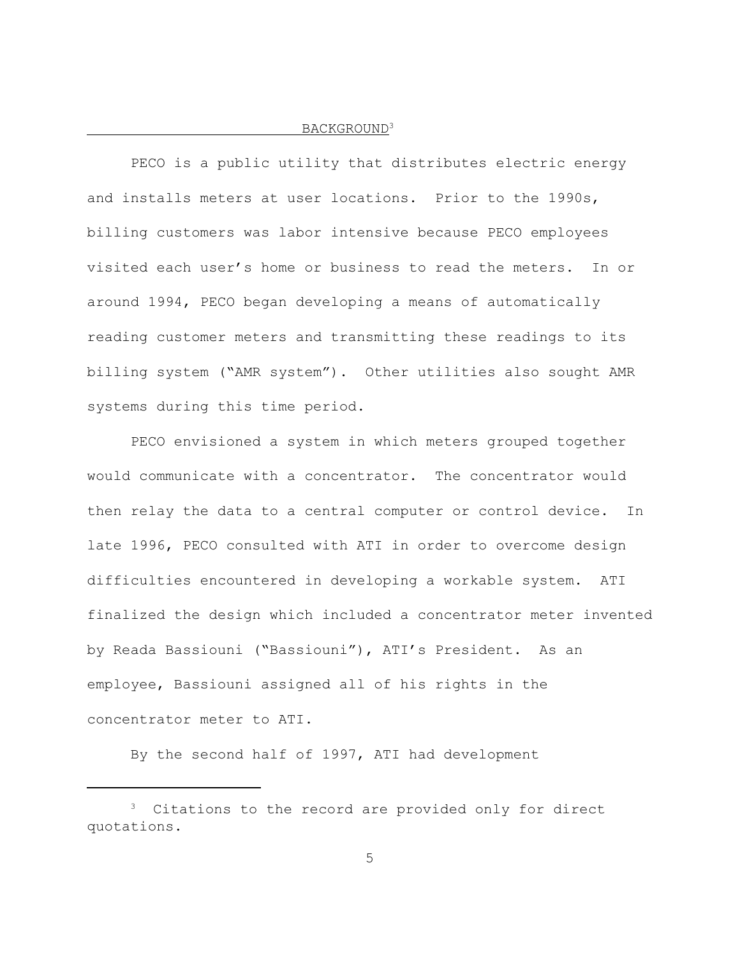## BACKGROUND<sup>3</sup>

PECO is a public utility that distributes electric energy and installs meters at user locations. Prior to the 1990s, billing customers was labor intensive because PECO employees visited each user's home or business to read the meters. In or around 1994, PECO began developing a means of automatically reading customer meters and transmitting these readings to its billing system ("AMR system"). Other utilities also sought AMR systems during this time period.

PECO envisioned a system in which meters grouped together would communicate with a concentrator. The concentrator would then relay the data to a central computer or control device. In late 1996, PECO consulted with ATI in order to overcome design difficulties encountered in developing a workable system. ATI finalized the design which included a concentrator meter invented by Reada Bassiouni ("Bassiouni"), ATI's President. As an employee, Bassiouni assigned all of his rights in the concentrator meter to ATI.

By the second half of 1997, ATI had development

 $3$  Citations to the record are provided only for direct quotations.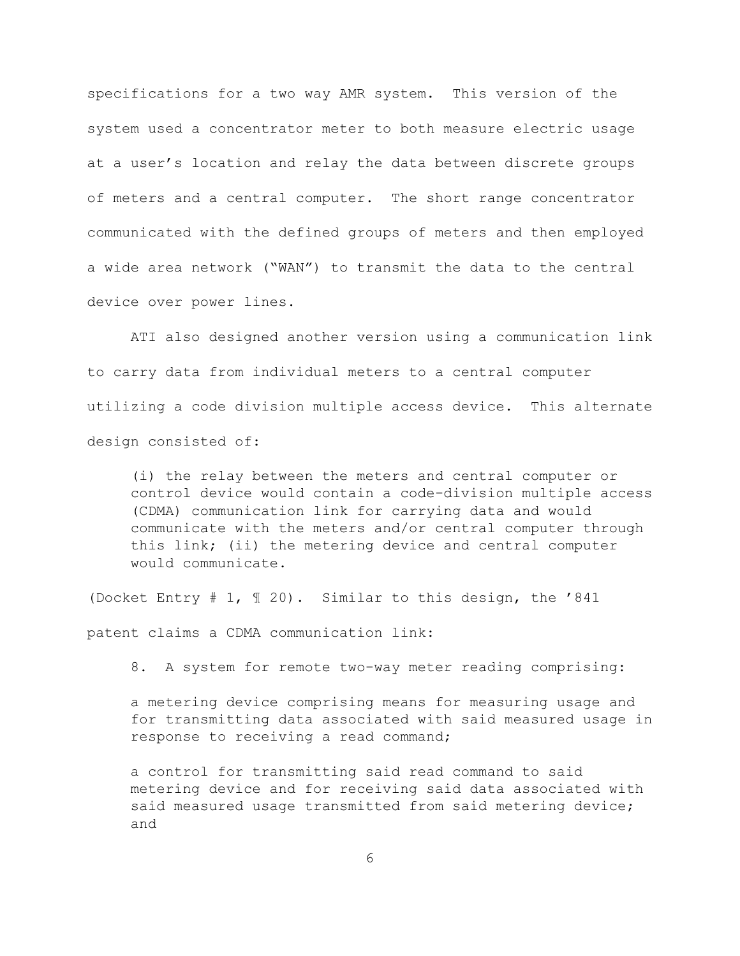specifications for a two way AMR system. This version of the system used a concentrator meter to both measure electric usage at a user's location and relay the data between discrete groups of meters and a central computer. The short range concentrator communicated with the defined groups of meters and then employed a wide area network ("WAN") to transmit the data to the central device over power lines.

ATI also designed another version using a communication link to carry data from individual meters to a central computer utilizing a code division multiple access device. This alternate design consisted of:

(i) the relay between the meters and central computer or control device would contain a code-division multiple access (CDMA) communication link for carrying data and would communicate with the meters and/or central computer through this link; (ii) the metering device and central computer would communicate.

(Docket Entry # 1, ¶ 20). Similar to this design, the '841

patent claims a CDMA communication link:

8. A system for remote two-way meter reading comprising:

a metering device comprising means for measuring usage and for transmitting data associated with said measured usage in response to receiving a read command;

a control for transmitting said read command to said metering device and for receiving said data associated with said measured usage transmitted from said metering device; and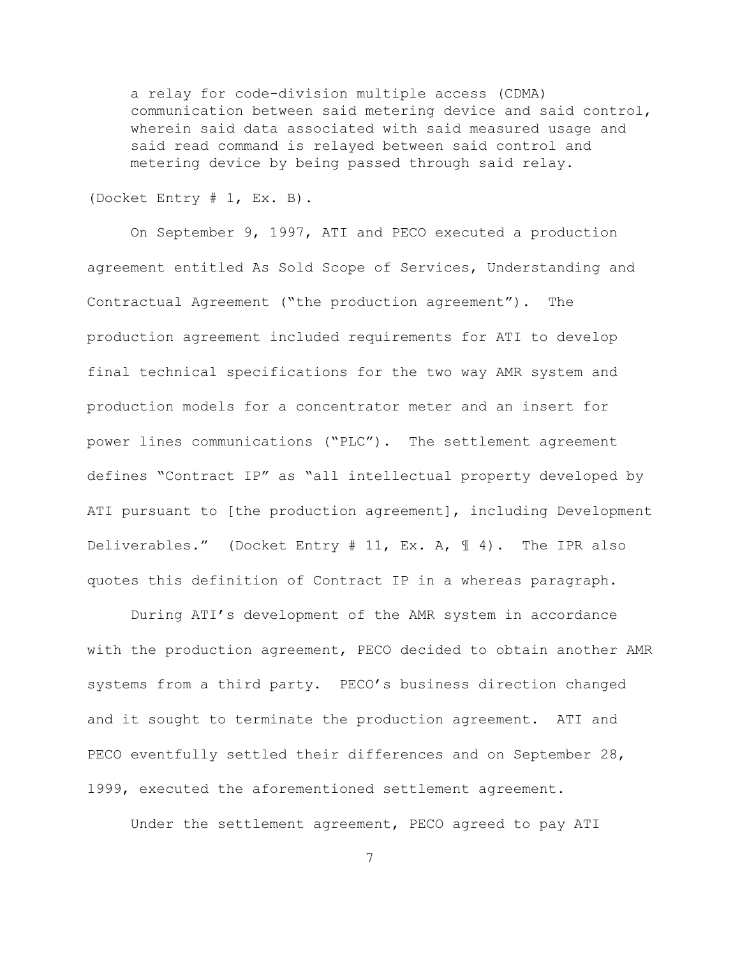a relay for code-division multiple access (CDMA) communication between said metering device and said control, wherein said data associated with said measured usage and said read command is relayed between said control and metering device by being passed through said relay.

(Docket Entry # 1, Ex. B).

On September 9, 1997, ATI and PECO executed a production agreement entitled As Sold Scope of Services, Understanding and Contractual Agreement ("the production agreement"). The production agreement included requirements for ATI to develop final technical specifications for the two way AMR system and production models for a concentrator meter and an insert for power lines communications ("PLC"). The settlement agreement defines "Contract IP" as "all intellectual property developed by ATI pursuant to [the production agreement], including Development Deliverables." (Docket Entry # 11, Ex. A, ¶ 4). The IPR also quotes this definition of Contract IP in a whereas paragraph.

During ATI's development of the AMR system in accordance with the production agreement, PECO decided to obtain another AMR systems from a third party. PECO's business direction changed and it sought to terminate the production agreement. ATI and PECO eventfully settled their differences and on September 28, 1999, executed the aforementioned settlement agreement.

Under the settlement agreement, PECO agreed to pay ATI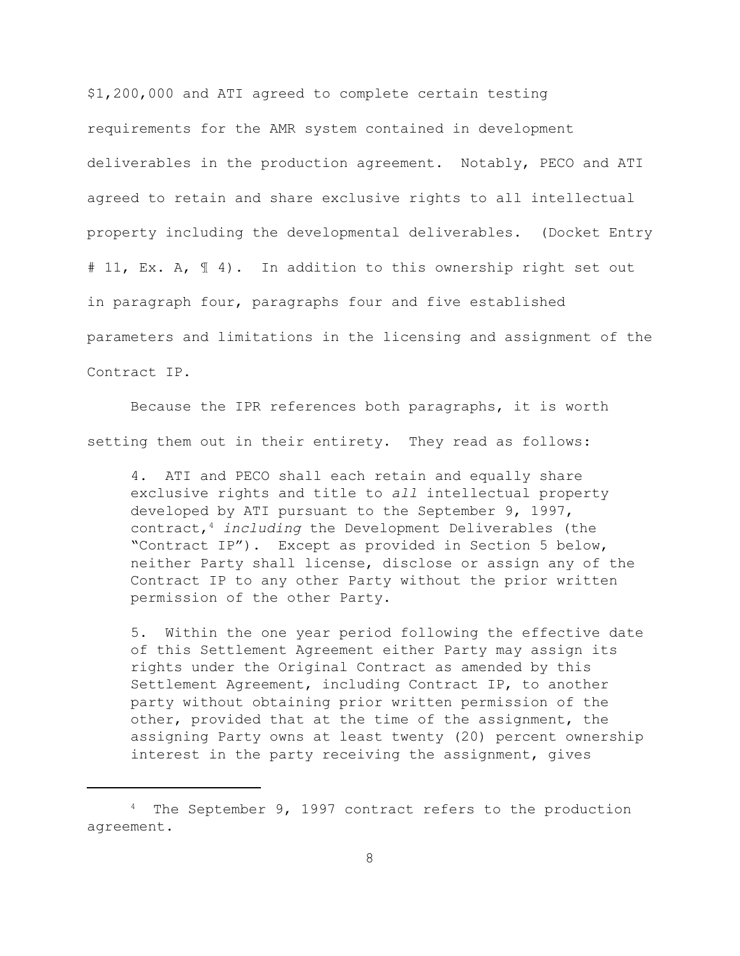\$1,200,000 and ATI agreed to complete certain testing requirements for the AMR system contained in development deliverables in the production agreement. Notably, PECO and ATI agreed to retain and share exclusive rights to all intellectual property including the developmental deliverables. (Docket Entry # 11, Ex. A, 1 4). In addition to this ownership right set out in paragraph four, paragraphs four and five established parameters and limitations in the licensing and assignment of the Contract IP.

Because the IPR references both paragraphs, it is worth setting them out in their entirety. They read as follows:

4. ATI and PECO shall each retain and equally share exclusive rights and title to *all* intellectual property developed by ATI pursuant to the September 9, 1997, contract, *including* the Development Deliverables (the <sup>4</sup> "Contract IP"). Except as provided in Section 5 below, neither Party shall license, disclose or assign any of the Contract IP to any other Party without the prior written permission of the other Party.

5. Within the one year period following the effective date of this Settlement Agreement either Party may assign its rights under the Original Contract as amended by this Settlement Agreement, including Contract IP, to another party without obtaining prior written permission of the other, provided that at the time of the assignment, the assigning Party owns at least twenty (20) percent ownership interest in the party receiving the assignment, gives

 $4$  The September 9, 1997 contract refers to the production agreement.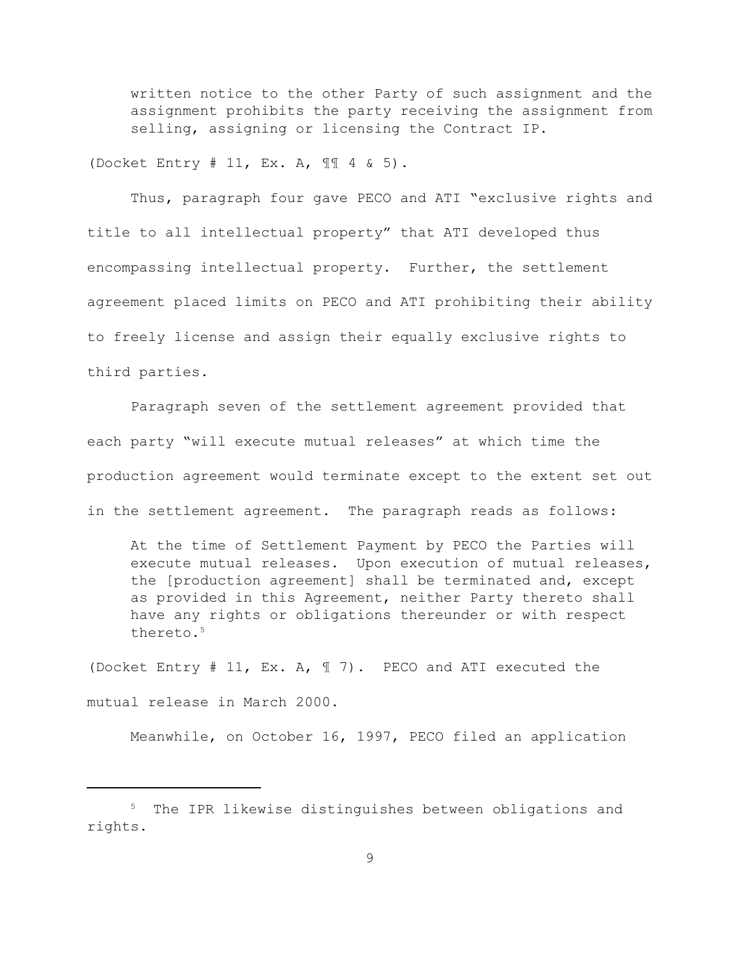written notice to the other Party of such assignment and the assignment prohibits the party receiving the assignment from selling, assigning or licensing the Contract IP.

(Docket Entry # 11, Ex. A, ¶¶ 4 & 5).

Thus, paragraph four gave PECO and ATI "exclusive rights and title to all intellectual property" that ATI developed thus encompassing intellectual property. Further, the settlement agreement placed limits on PECO and ATI prohibiting their ability to freely license and assign their equally exclusive rights to third parties.

Paragraph seven of the settlement agreement provided that each party "will execute mutual releases" at which time the production agreement would terminate except to the extent set out in the settlement agreement. The paragraph reads as follows:

At the time of Settlement Payment by PECO the Parties will execute mutual releases. Upon execution of mutual releases, the [production agreement] shall be terminated and, except as provided in this Agreement, neither Party thereto shall have any rights or obligations thereunder or with respect thereto. 5

(Docket Entry # 11, Ex. A, ¶ 7). PECO and ATI executed the mutual release in March 2000.

Meanwhile, on October 16, 1997, PECO filed an application

<sup>&</sup>lt;sup>5</sup> The IPR likewise distinguishes between obligations and rights.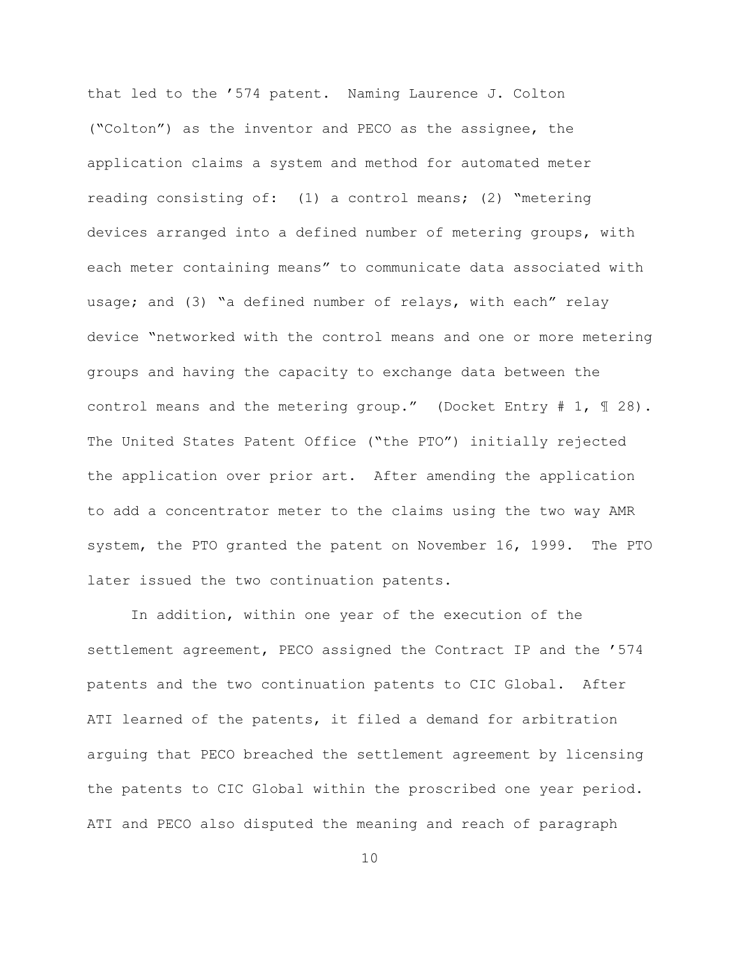that led to the '574 patent. Naming Laurence J. Colton ("Colton") as the inventor and PECO as the assignee, the application claims a system and method for automated meter reading consisting of: (1) a control means; (2) "metering devices arranged into a defined number of metering groups, with each meter containing means" to communicate data associated with usage; and (3) "a defined number of relays, with each" relay device "networked with the control means and one or more metering groups and having the capacity to exchange data between the control means and the metering group." (Docket Entry  $# 1, \mathcal{F} 28$ ). The United States Patent Office ("the PTO") initially rejected the application over prior art. After amending the application to add a concentrator meter to the claims using the two way AMR system, the PTO granted the patent on November 16, 1999. The PTO later issued the two continuation patents.

In addition, within one year of the execution of the settlement agreement, PECO assigned the Contract IP and the '574 patents and the two continuation patents to CIC Global. After ATI learned of the patents, it filed a demand for arbitration arguing that PECO breached the settlement agreement by licensing the patents to CIC Global within the proscribed one year period. ATI and PECO also disputed the meaning and reach of paragraph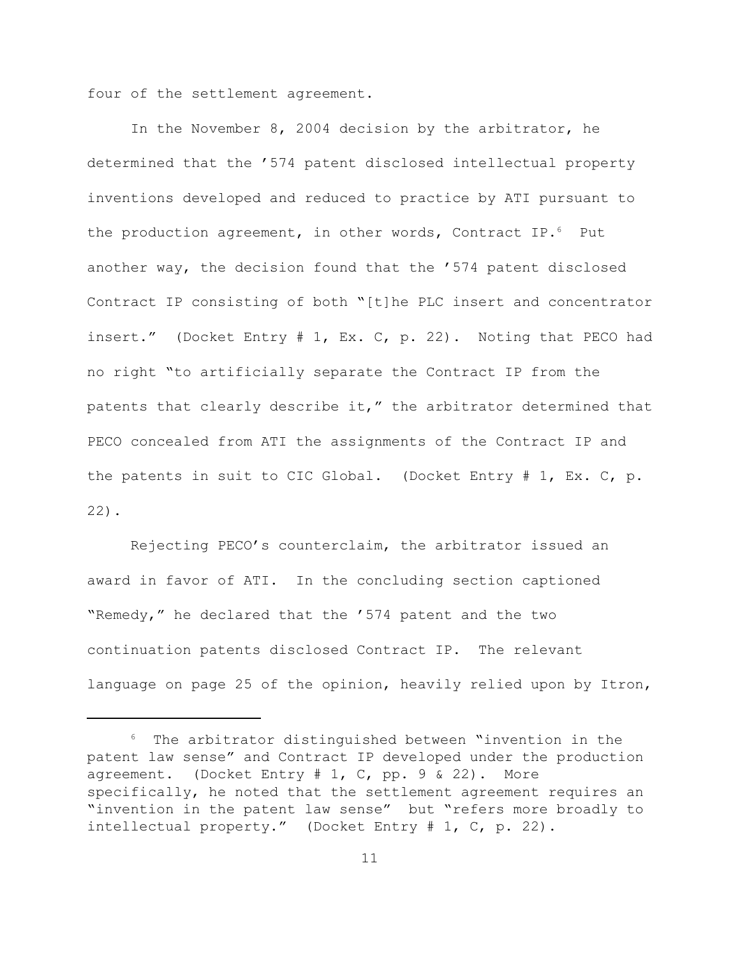four of the settlement agreement.

In the November 8, 2004 decision by the arbitrator, he determined that the '574 patent disclosed intellectual property inventions developed and reduced to practice by ATI pursuant to the production agreement, in other words, Contract IP. $^6$  Put another way, the decision found that the '574 patent disclosed Contract IP consisting of both "[t]he PLC insert and concentrator insert." (Docket Entry # 1, Ex. C, p. 22). Noting that PECO had no right "to artificially separate the Contract IP from the patents that clearly describe it," the arbitrator determined that PECO concealed from ATI the assignments of the Contract IP and the patents in suit to CIC Global. (Docket Entry # 1, Ex. C, p. 22).

Rejecting PECO's counterclaim, the arbitrator issued an award in favor of ATI. In the concluding section captioned "Remedy," he declared that the '574 patent and the two continuation patents disclosed Contract IP. The relevant language on page 25 of the opinion, heavily relied upon by Itron,

 $6$  The arbitrator distinguished between "invention in the patent law sense" and Contract IP developed under the production agreement. (Docket Entry # 1, C, pp. 9 & 22). More specifically, he noted that the settlement agreement requires an "invention in the patent law sense" but "refers more broadly to intellectual property." (Docket Entry # 1, C, p. 22).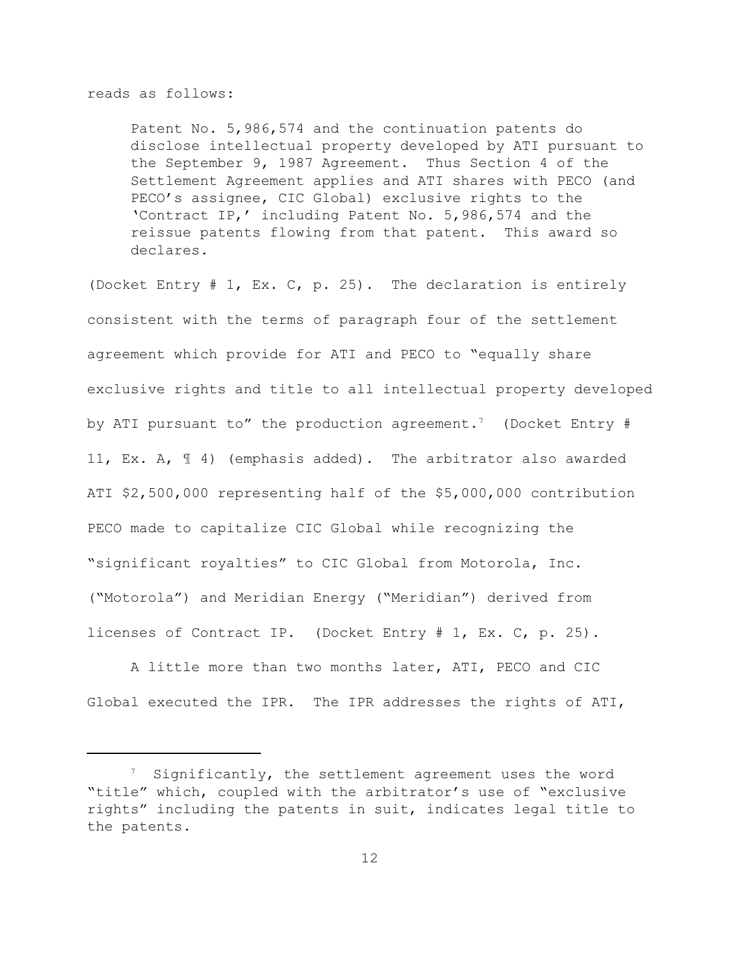#### reads as follows:

Patent No. 5,986,574 and the continuation patents do disclose intellectual property developed by ATI pursuant to the September 9, 1987 Agreement. Thus Section 4 of the Settlement Agreement applies and ATI shares with PECO (and PECO's assignee, CIC Global) exclusive rights to the 'Contract IP,' including Patent No. 5,986,574 and the reissue patents flowing from that patent. This award so declares.

(Docket Entry # 1, Ex. C, p. 25). The declaration is entirely consistent with the terms of paragraph four of the settlement agreement which provide for ATI and PECO to "equally share exclusive rights and title to all intellectual property developed by ATI pursuant to" the production agreement.<sup>7</sup> (Docket Entry # 11, Ex. A, ¶ 4) (emphasis added). The arbitrator also awarded ATI \$2,500,000 representing half of the \$5,000,000 contribution PECO made to capitalize CIC Global while recognizing the "significant royalties" to CIC Global from Motorola, Inc. ("Motorola") and Meridian Energy ("Meridian") derived from licenses of Contract IP. (Docket Entry # 1, Ex. C, p. 25).

A little more than two months later, ATI, PECO and CIC Global executed the IPR. The IPR addresses the rights of ATI,

 $7$  Significantly, the settlement agreement uses the word "title" which, coupled with the arbitrator's use of "exclusive rights" including the patents in suit, indicates legal title to the patents.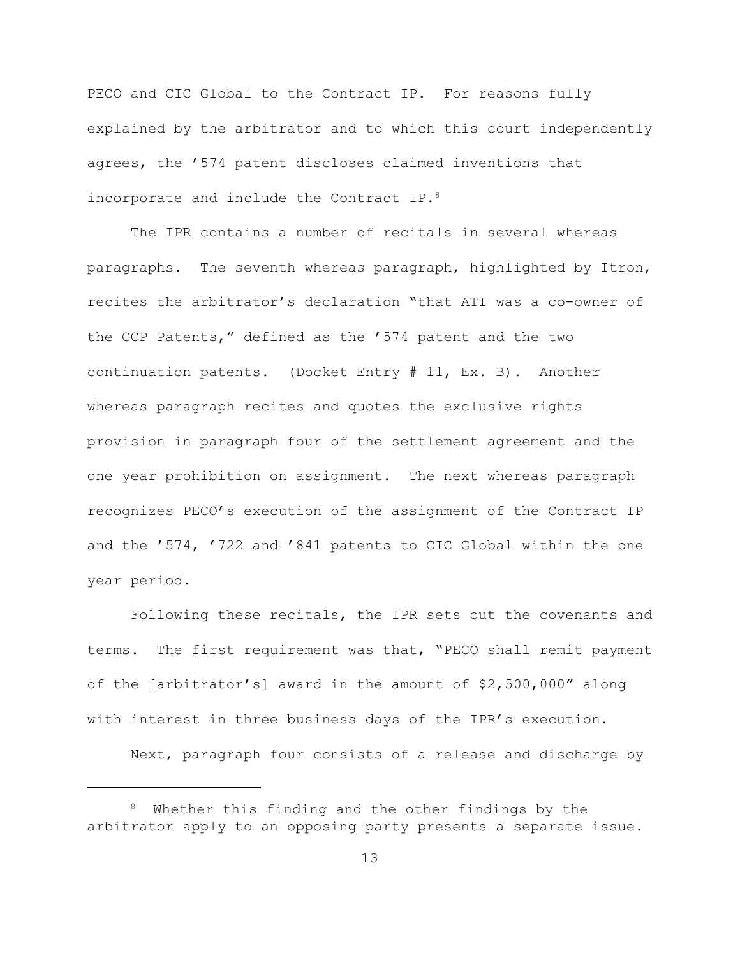PECO and CIC Global to the Contract IP. For reasons fully explained by the arbitrator and to which this court independently agrees, the '574 patent discloses claimed inventions that incorporate and include the Contract IP.<sup>8</sup>

The IPR contains a number of recitals in several whereas paragraphs. The seventh whereas paragraph, highlighted by Itron, recites the arbitrator's declaration "that ATI was a co-owner of the CCP Patents," defined as the '574 patent and the two continuation patents. (Docket Entry # 11, Ex. B). Another whereas paragraph recites and quotes the exclusive rights provision in paragraph four of the settlement agreement and the one year prohibition on assignment. The next whereas paragraph recognizes PECO's execution of the assignment of the Contract IP and the '574, '722 and '841 patents to CIC Global within the one year period.

Following these recitals, the IPR sets out the covenants and terms. The first requirement was that, "PECO shall remit payment of the [arbitrator's] award in the amount of \$2,500,000" along with interest in three business days of the IPR's execution.

Next, paragraph four consists of a release and discharge by

 $8$  Whether this finding and the other findings by the arbitrator apply to an opposing party presents a separate issue.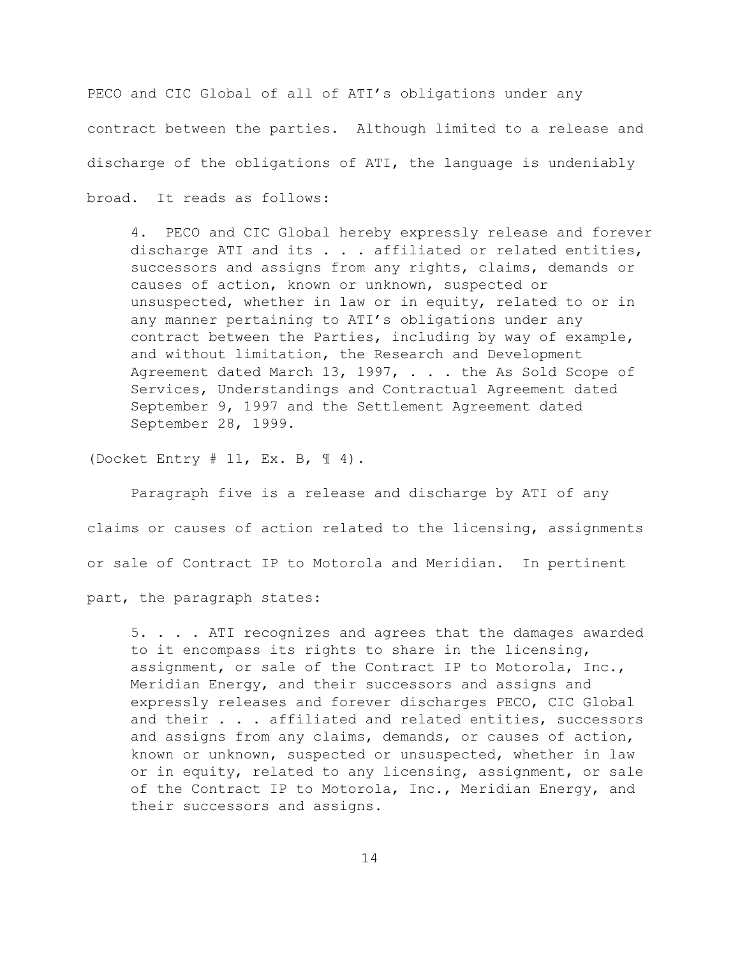PECO and CIC Global of all of ATI's obligations under any contract between the parties. Although limited to a release and discharge of the obligations of ATI, the language is undeniably broad. It reads as follows:

4. PECO and CIC Global hereby expressly release and forever discharge ATI and its . . . affiliated or related entities, successors and assigns from any rights, claims, demands or causes of action, known or unknown, suspected or unsuspected, whether in law or in equity, related to or in any manner pertaining to ATI's obligations under any contract between the Parties, including by way of example, and without limitation, the Research and Development Agreement dated March 13, 1997, . . . the As Sold Scope of Services, Understandings and Contractual Agreement dated September 9, 1997 and the Settlement Agreement dated September 28, 1999.

(Docket Entry # 11, Ex. B, ¶ 4).

Paragraph five is a release and discharge by ATI of any claims or causes of action related to the licensing, assignments or sale of Contract IP to Motorola and Meridian. In pertinent part, the paragraph states:

5. . . . ATI recognizes and agrees that the damages awarded to it encompass its rights to share in the licensing, assignment, or sale of the Contract IP to Motorola, Inc., Meridian Energy, and their successors and assigns and expressly releases and forever discharges PECO, CIC Global and their . . . affiliated and related entities, successors and assigns from any claims, demands, or causes of action, known or unknown, suspected or unsuspected, whether in law or in equity, related to any licensing, assignment, or sale of the Contract IP to Motorola, Inc., Meridian Energy, and their successors and assigns.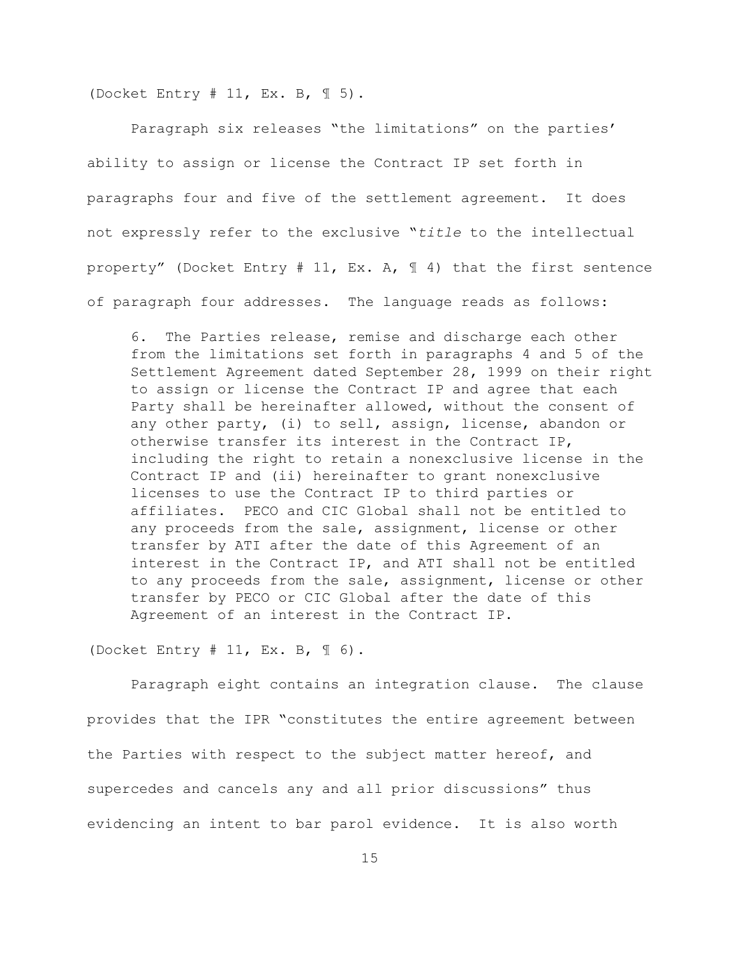(Docket Entry # 11, Ex. B,  $\mathbb{I}$  5).

Paragraph six releases "the limitations" on the parties' ability to assign or license the Contract IP set forth in paragraphs four and five of the settlement agreement. It does not expressly refer to the exclusive "*title* to the intellectual property" (Docket Entry # 11, Ex. A,  $\parallel$  4) that the first sentence of paragraph four addresses. The language reads as follows:

6. The Parties release, remise and discharge each other from the limitations set forth in paragraphs 4 and 5 of the Settlement Agreement dated September 28, 1999 on their right to assign or license the Contract IP and agree that each Party shall be hereinafter allowed, without the consent of any other party, (i) to sell, assign, license, abandon or otherwise transfer its interest in the Contract IP, including the right to retain a nonexclusive license in the Contract IP and (ii) hereinafter to grant nonexclusive licenses to use the Contract IP to third parties or affiliates. PECO and CIC Global shall not be entitled to any proceeds from the sale, assignment, license or other transfer by ATI after the date of this Agreement of an interest in the Contract IP, and ATI shall not be entitled to any proceeds from the sale, assignment, license or other transfer by PECO or CIC Global after the date of this Agreement of an interest in the Contract IP.

(Docket Entry  $# 11$ , Ex. B,  $\mathbb{I} 6$ ).

Paragraph eight contains an integration clause. The clause provides that the IPR "constitutes the entire agreement between the Parties with respect to the subject matter hereof, and supercedes and cancels any and all prior discussions" thus evidencing an intent to bar parol evidence. It is also worth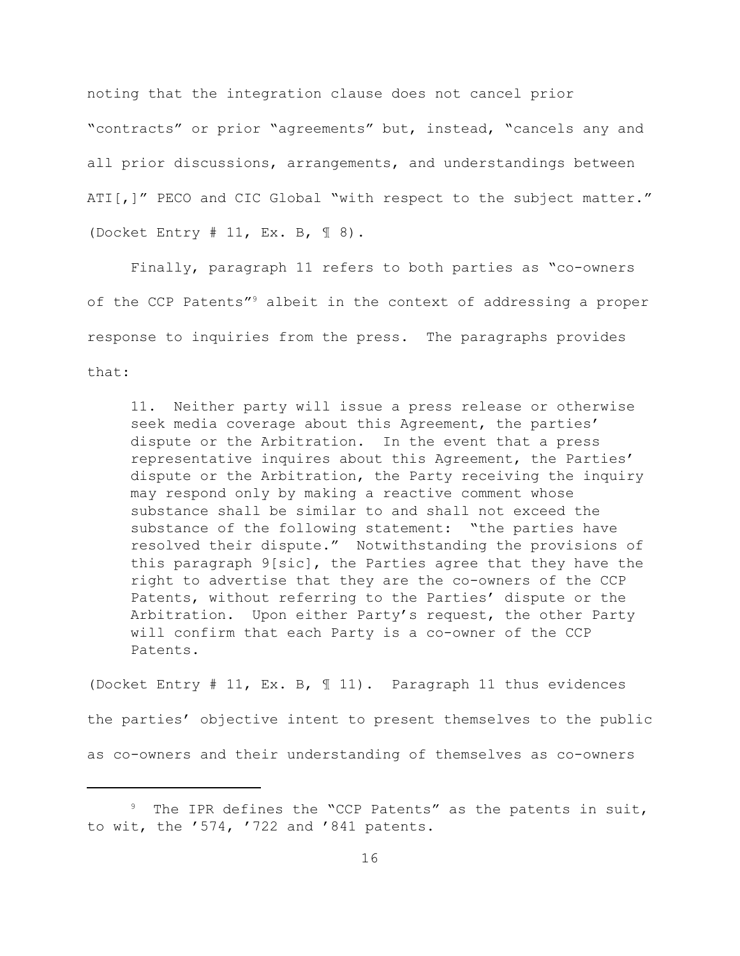noting that the integration clause does not cancel prior "contracts" or prior "agreements" but, instead, "cancels any and all prior discussions, arrangements, and understandings between ATI[,]" PECO and CIC Global "with respect to the subject matter." (Docket Entry # 11, Ex. B, ¶ 8).

Finally, paragraph 11 refers to both parties as "co-owners of the CCP Patents"<sup>9</sup> albeit in the context of addressing a proper response to inquiries from the press. The paragraphs provides that:

11. Neither party will issue a press release or otherwise seek media coverage about this Agreement, the parties' dispute or the Arbitration. In the event that a press representative inquires about this Agreement, the Parties' dispute or the Arbitration, the Party receiving the inquiry may respond only by making a reactive comment whose substance shall be similar to and shall not exceed the substance of the following statement: "the parties have resolved their dispute." Notwithstanding the provisions of this paragraph 9[sic], the Parties agree that they have the right to advertise that they are the co-owners of the CCP Patents, without referring to the Parties' dispute or the Arbitration. Upon either Party's request, the other Party will confirm that each Party is a co-owner of the CCP Patents.

(Docket Entry # 11, Ex. B, ¶ 11). Paragraph 11 thus evidences the parties' objective intent to present themselves to the public as co-owners and their understanding of themselves as co-owners

 $9$  The IPR defines the "CCP Patents" as the patents in suit, to wit, the '574, '722 and '841 patents.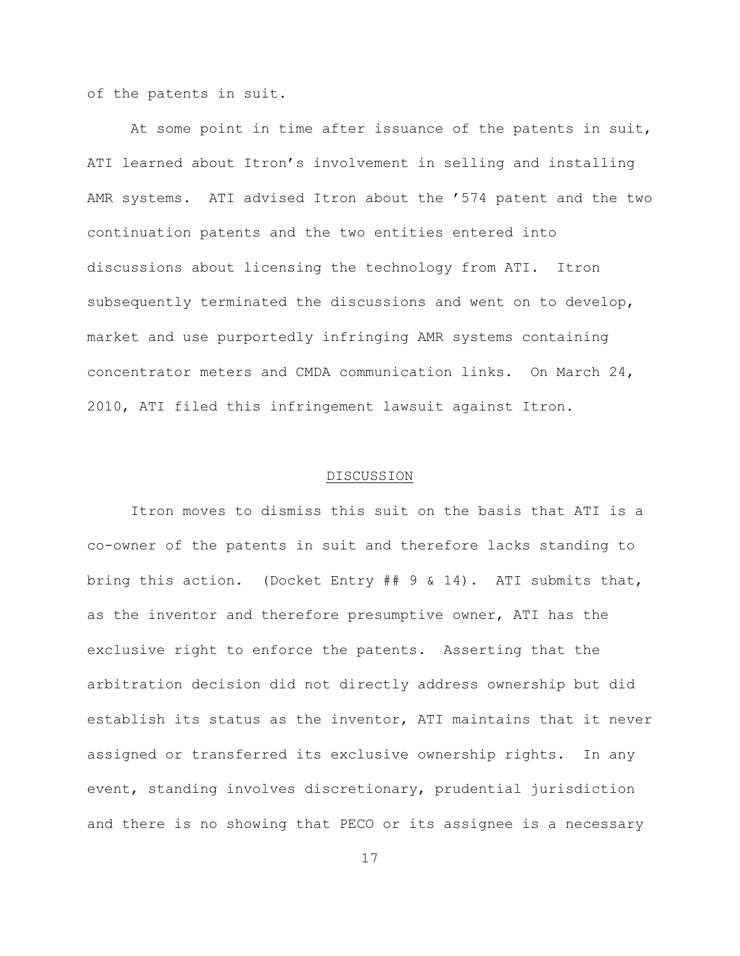of the patents in suit.

At some point in time after issuance of the patents in suit, ATI learned about Itron's involvement in selling and installing AMR systems. ATI advised Itron about the '574 patent and the two continuation patents and the two entities entered into discussions about licensing the technology from ATI. Itron subsequently terminated the discussions and went on to develop, market and use purportedly infringing AMR systems containing concentrator meters and CMDA communication links. On March 24, 2010, ATI filed this infringement lawsuit against Itron.

#### DISCUSSION

Itron moves to dismiss this suit on the basis that ATI is a co-owner of the patents in suit and therefore lacks standing to bring this action. (Docket Entry ## 9 & 14). ATI submits that, as the inventor and therefore presumptive owner, ATI has the exclusive right to enforce the patents. Asserting that the arbitration decision did not directly address ownership but did establish its status as the inventor, ATI maintains that it never assigned or transferred its exclusive ownership rights. In any event, standing involves discretionary, prudential jurisdiction and there is no showing that PECO or its assignee is a necessary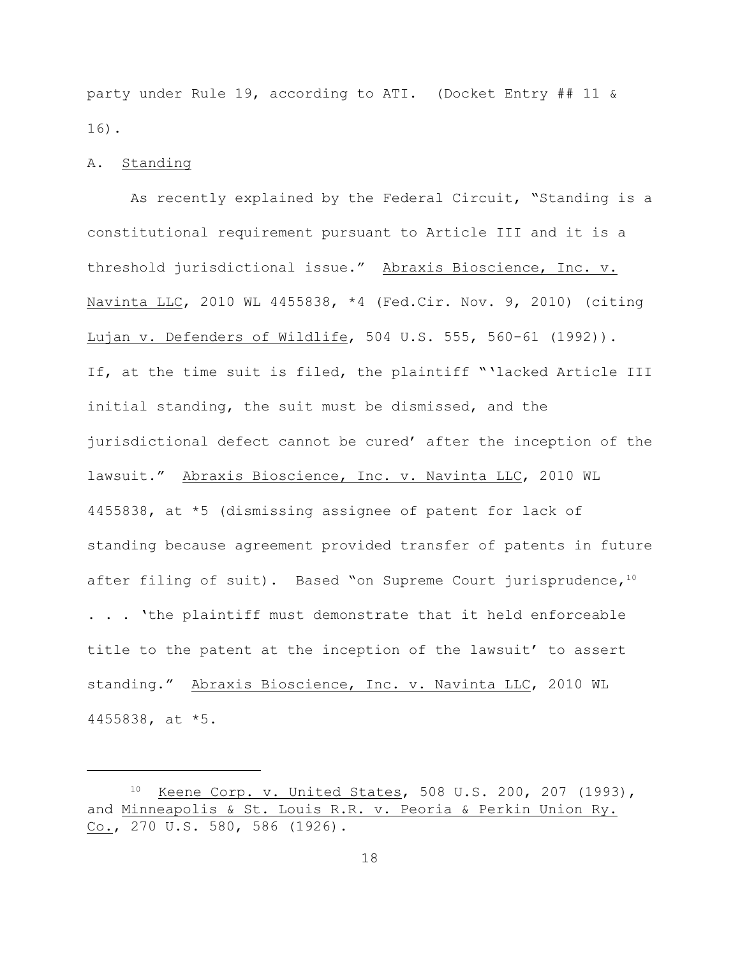party under Rule 19, according to ATI. (Docket Entry ## 11 & 16).

## A. Standing

As recently explained by the Federal Circuit, "Standing is a constitutional requirement pursuant to Article III and it is a threshold jurisdictional issue." Abraxis Bioscience, Inc. v. Navinta LLC, 2010 WL 4455838, \*4 (Fed.Cir. Nov. 9, 2010) (citing Lujan v. Defenders of Wildlife, 504 U.S. 555, 560-61 (1992)). If, at the time suit is filed, the plaintiff "'lacked Article III initial standing, the suit must be dismissed, and the jurisdictional defect cannot be cured' after the inception of the lawsuit." Abraxis Bioscience, Inc. v. Navinta LLC, 2010 WL 4455838, at \*5 (dismissing assignee of patent for lack of standing because agreement provided transfer of patents in future after filing of suit). Based "on Supreme Court jurisprudence, $10$ . . . 'the plaintiff must demonstrate that it held enforceable title to the patent at the inception of the lawsuit' to assert standing." Abraxis Bioscience, Inc. v. Navinta LLC, 2010 WL 4455838, at \*5.

<sup>&</sup>lt;sup>10</sup> Keene Corp. v. United States, 508 U.S. 200, 207 (1993), and Minneapolis & St. Louis R.R. v. Peoria & Perkin Union Ry. Co., 270 U.S. 580, 586 (1926).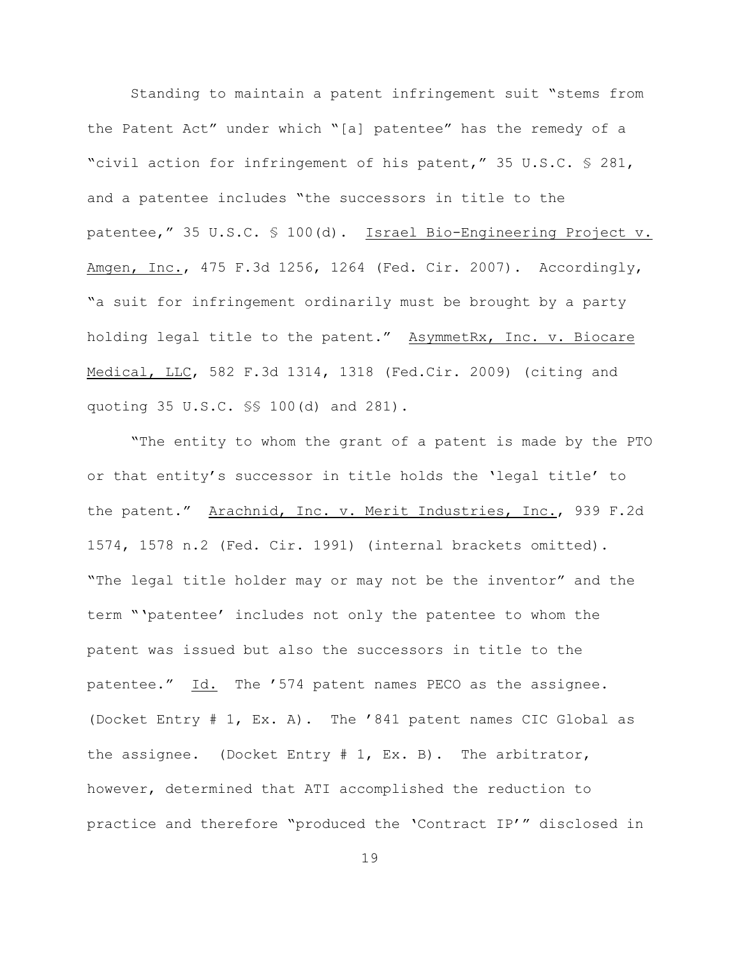Standing to maintain a patent infringement suit "stems from the Patent Act" under which "[a] patentee" has the remedy of a "civil action for infringement of his patent," 35 U.S.C. § 281, and a patentee includes "the successors in title to the patentee," 35 U.S.C. § 100(d). Israel Bio-Engineering Project v. Amgen, Inc., 475 F.3d 1256, 1264 (Fed. Cir. 2007). Accordingly, "a suit for infringement ordinarily must be brought by a party holding legal title to the patent." AsymmetRx, Inc. v. Biocare Medical, LLC, 582 F.3d 1314, 1318 (Fed.Cir. 2009) (citing and quoting 35 U.S.C. §§ 100(d) and 281).

"The entity to whom the grant of a patent is made by the PTO or that entity's successor in title holds the 'legal title' to the patent." Arachnid, Inc. v. Merit Industries, Inc., 939 F.2d 1574, 1578 n.2 (Fed. Cir. 1991) (internal brackets omitted). "The legal title holder may or may not be the inventor" and the term "'patentee' includes not only the patentee to whom the patent was issued but also the successors in title to the patentee." Id. The '574 patent names PECO as the assignee. (Docket Entry # 1, Ex. A). The '841 patent names CIC Global as the assignee. (Docket Entry # 1, Ex. B). The arbitrator, however, determined that ATI accomplished the reduction to practice and therefore "produced the 'Contract IP'" disclosed in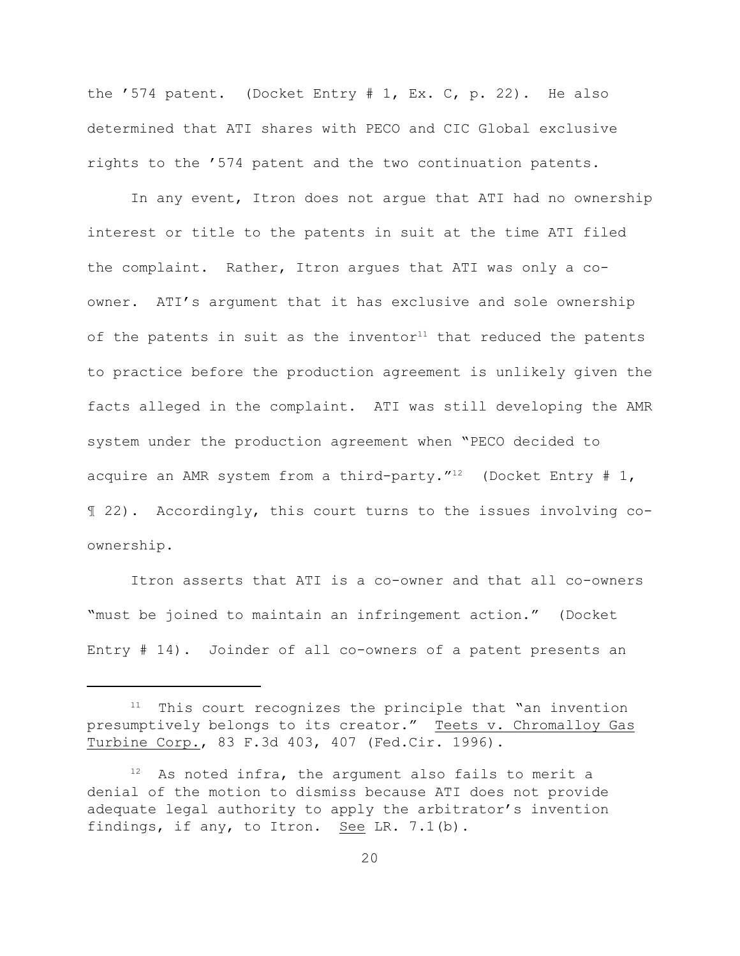the '574 patent. (Docket Entry # 1, Ex. C, p. 22). He also determined that ATI shares with PECO and CIC Global exclusive rights to the '574 patent and the two continuation patents.

In any event, Itron does not argue that ATI had no ownership interest or title to the patents in suit at the time ATI filed the complaint. Rather, Itron argues that ATI was only a coowner. ATI's argument that it has exclusive and sole ownership of the patents in suit as the inventor<sup>11</sup> that reduced the patents to practice before the production agreement is unlikely given the facts alleged in the complaint. ATI was still developing the AMR system under the production agreement when "PECO decided to acquire an AMR system from a third-party."<sup>12</sup> (Docket Entry # 1, ¶ 22). Accordingly, this court turns to the issues involving coownership.

Itron asserts that ATI is a co-owner and that all co-owners "must be joined to maintain an infringement action." (Docket Entry # 14). Joinder of all co-owners of a patent presents an

 $11$  This court recognizes the principle that "an invention presumptively belongs to its creator." Teets v. Chromalloy Gas Turbine Corp., 83 F.3d 403, 407 (Fed.Cir. 1996).

 $12$  As noted infra, the argument also fails to merit a denial of the motion to dismiss because ATI does not provide adequate legal authority to apply the arbitrator's invention findings, if any, to Itron. See LR. 7.1(b).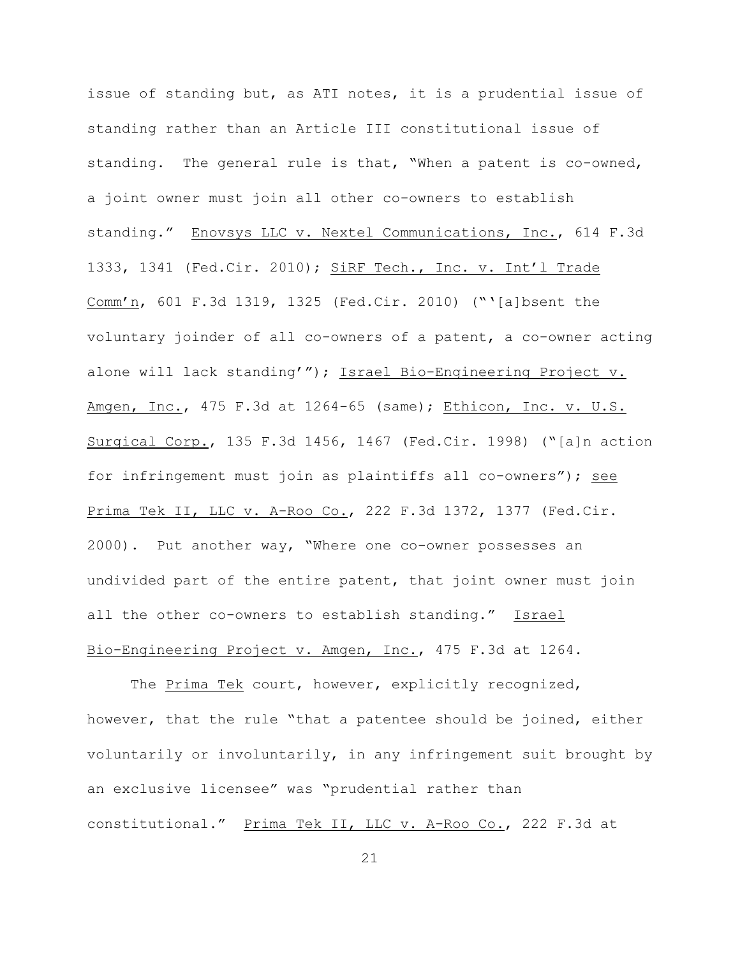issue of standing but, as ATI notes, it is a prudential issue of standing rather than an Article III constitutional issue of standing. The general rule is that, "When a patent is co-owned, a joint owner must join all other co-owners to establish standing." Enovsys LLC v. Nextel Communications, Inc., 614 F.3d 1333, 1341 (Fed.Cir. 2010); SiRF Tech., Inc. v. Int'l Trade Comm'n, 601 F.3d 1319, 1325 (Fed.Cir. 2010) ("'[a]bsent the voluntary joinder of all co-owners of a patent, a co-owner acting alone will lack standing'"); Israel Bio-Engineering Project v. Amgen, Inc., 475 F.3d at 1264-65 (same); Ethicon, Inc. v. U.S. Surgical Corp., 135 F.3d 1456, 1467 (Fed.Cir. 1998) ("[a]n action for infringement must join as plaintiffs all co-owners"); see Prima Tek II, LLC v. A-Roo Co., 222 F.3d 1372, 1377 (Fed.Cir. 2000). Put another way, "Where one co-owner possesses an undivided part of the entire patent, that joint owner must join all the other co-owners to establish standing." Israel Bio-Engineering Project v. Amgen, Inc., 475 F.3d at 1264.

The Prima Tek court, however, explicitly recognized, however, that the rule "that a patentee should be joined, either voluntarily or involuntarily, in any infringement suit brought by an exclusive licensee" was "prudential rather than constitutional." Prima Tek II, LLC v. A-Roo Co., 222 F.3d at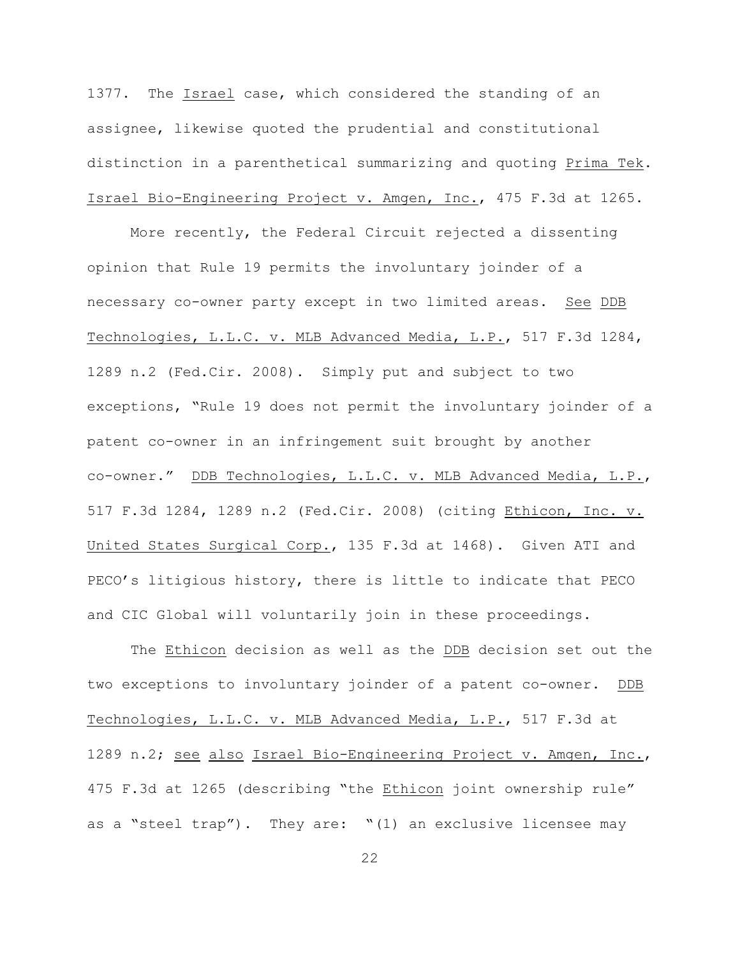1377. The Israel case, which considered the standing of an assignee, likewise quoted the prudential and constitutional distinction in a parenthetical summarizing and quoting Prima Tek. Israel Bio-Engineering Project v. Amgen, Inc., 475 F.3d at 1265.

More recently, the Federal Circuit rejected a dissenting opinion that Rule 19 permits the involuntary joinder of a necessary co-owner party except in two limited areas. See DDB Technologies, L.L.C. v. MLB Advanced Media, L.P., 517 F.3d 1284, 1289 n.2 (Fed.Cir. 2008). Simply put and subject to two exceptions, "Rule 19 does not permit the involuntary joinder of a patent co-owner in an infringement suit brought by another co-owner." DDB Technologies, L.L.C. v. MLB Advanced Media, L.P., 517 F.3d 1284, 1289 n.2 (Fed.Cir. 2008) (citing Ethicon, Inc. v. United States Surgical Corp., 135 F.3d at 1468). Given ATI and PECO's litigious history, there is little to indicate that PECO and CIC Global will voluntarily join in these proceedings.

The Ethicon decision as well as the DDB decision set out the two exceptions to involuntary joinder of a patent co-owner. DDB Technologies, L.L.C. v. MLB Advanced Media, L.P., 517 F.3d at 1289 n.2; see also Israel Bio-Engineering Project v. Amgen, Inc., 475 F.3d at 1265 (describing "the Ethicon joint ownership rule" as a "steel trap"). They are: "(1) an exclusive licensee may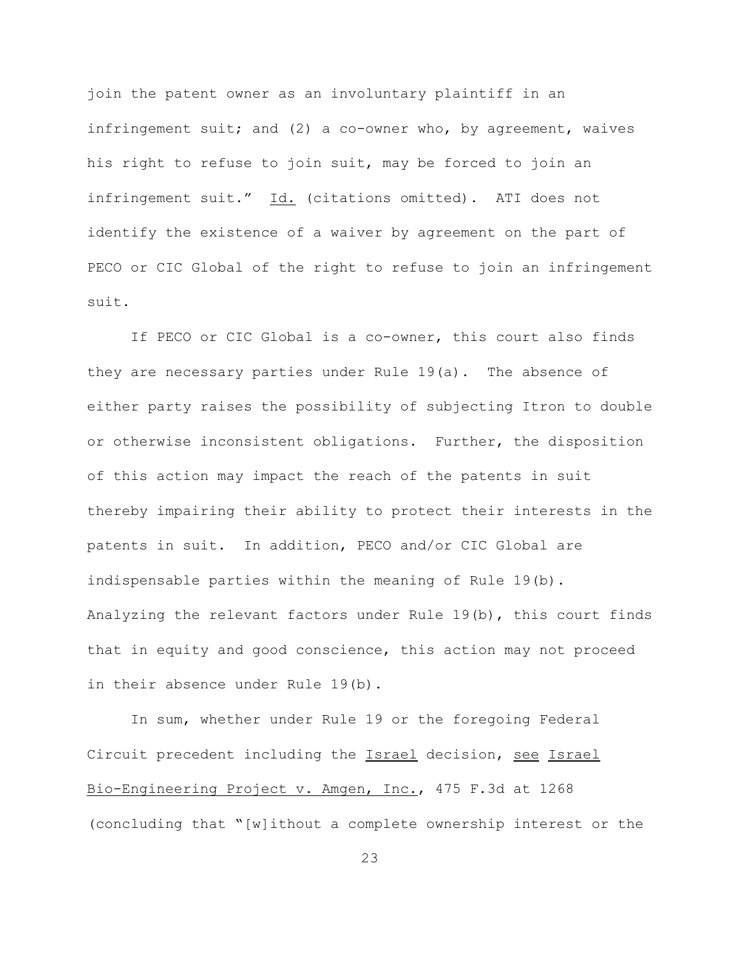join the patent owner as an involuntary plaintiff in an infringement suit; and (2) a co-owner who, by agreement, waives his right to refuse to join suit, may be forced to join an infringement suit." Id. (citations omitted). ATI does not identify the existence of a waiver by agreement on the part of PECO or CIC Global of the right to refuse to join an infringement suit.

If PECO or CIC Global is a co-owner, this court also finds they are necessary parties under Rule 19(a). The absence of either party raises the possibility of subjecting Itron to double or otherwise inconsistent obligations. Further, the disposition of this action may impact the reach of the patents in suit thereby impairing their ability to protect their interests in the patents in suit. In addition, PECO and/or CIC Global are indispensable parties within the meaning of Rule 19(b). Analyzing the relevant factors under Rule 19(b), this court finds that in equity and good conscience, this action may not proceed in their absence under Rule 19(b).

In sum, whether under Rule 19 or the foregoing Federal Circuit precedent including the Israel decision, see Israel Bio-Engineering Project v. Amgen, Inc., 475 F.3d at 1268 (concluding that "[w]ithout a complete ownership interest or the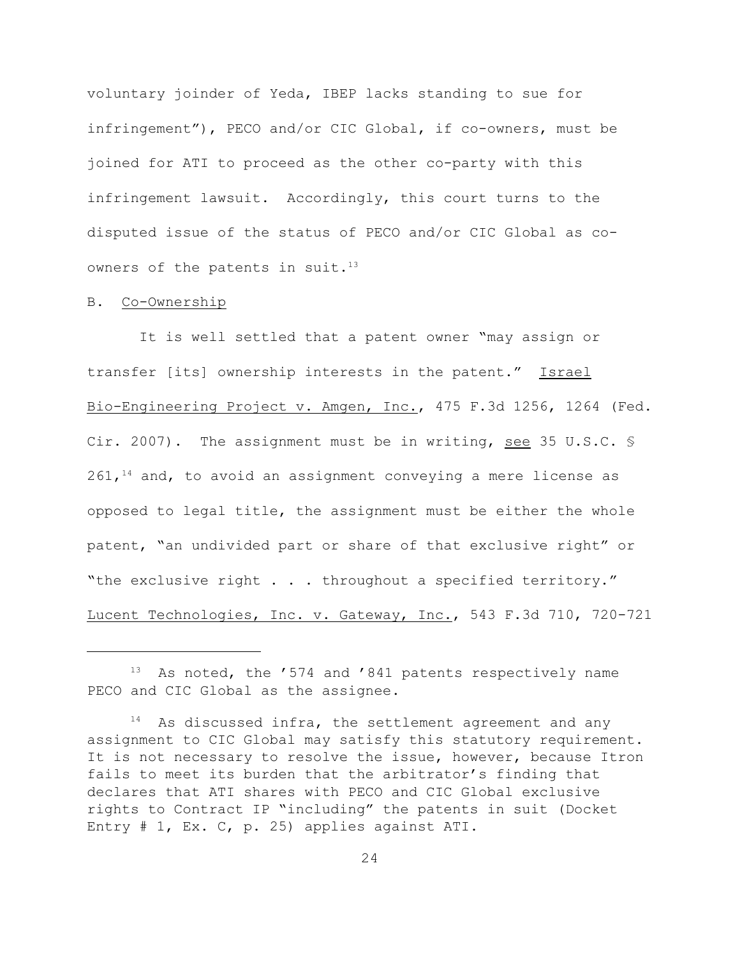voluntary joinder of Yeda, IBEP lacks standing to sue for infringement"), PECO and/or CIC Global, if co-owners, must be joined for ATI to proceed as the other co-party with this infringement lawsuit. Accordingly, this court turns to the disputed issue of the status of PECO and/or CIC Global as coowners of the patents in suit.<sup>13</sup>

#### B. Co-Ownership

 It is well settled that a patent owner "may assign or transfer [its] ownership interests in the patent." Israel Bio-Engineering Project v. Amgen, Inc., 475 F.3d 1256, 1264 (Fed. Cir. 2007). The assignment must be in writing, see 35 U.S.C.  $\frac{1}{2}$  $261,$ <sup>14</sup> and, to avoid an assignment conveying a mere license as opposed to legal title, the assignment must be either the whole patent, "an undivided part or share of that exclusive right" or "the exclusive right . . . throughout a specified territory." Lucent Technologies, Inc. v. Gateway, Inc., 543 F.3d 710, 720-721

 $13$  As noted, the '574 and '841 patents respectively name PECO and CIC Global as the assignee.

 $14$  As discussed infra, the settlement agreement and any assignment to CIC Global may satisfy this statutory requirement. It is not necessary to resolve the issue, however, because Itron fails to meet its burden that the arbitrator's finding that declares that ATI shares with PECO and CIC Global exclusive rights to Contract IP "including" the patents in suit (Docket Entry # 1, Ex. C, p. 25) applies against ATI.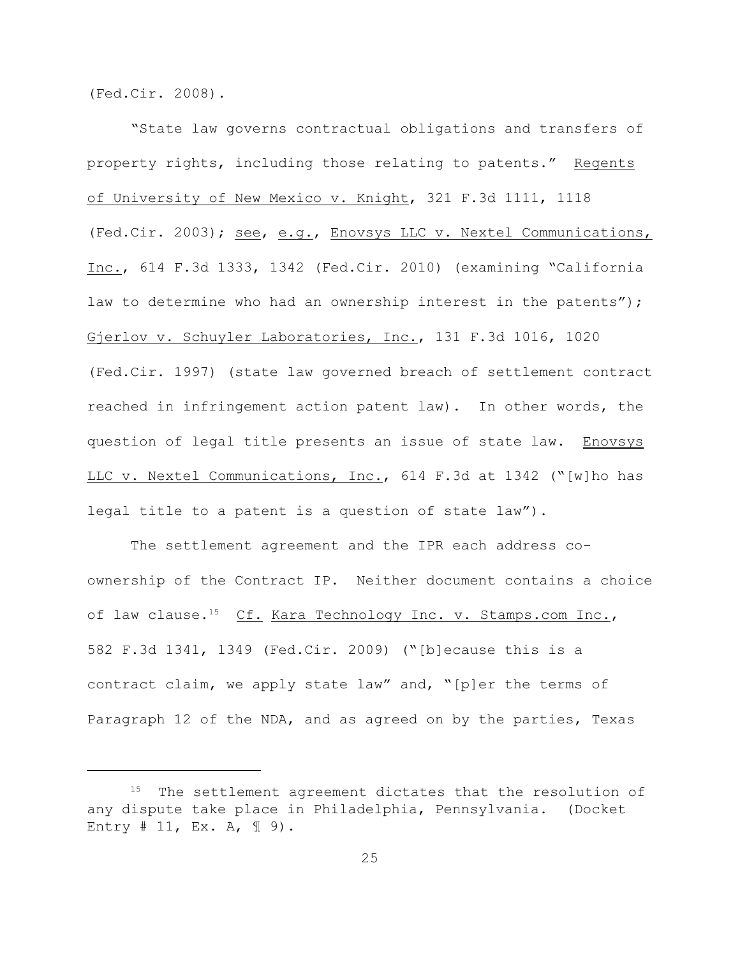(Fed.Cir. 2008).

"State law governs contractual obligations and transfers of property rights, including those relating to patents." Regents of University of New Mexico v. Knight, 321 F.3d 1111, 1118 (Fed.Cir. 2003); see, e.g., Enovsys LLC v. Nextel Communications, Inc., 614 F.3d 1333, 1342 (Fed.Cir. 2010) (examining "California law to determine who had an ownership interest in the patents"); Gjerlov v. Schuyler Laboratories, Inc., 131 F.3d 1016, 1020 (Fed.Cir. 1997) (state law governed breach of settlement contract reached in infringement action patent law). In other words, the question of legal title presents an issue of state law. Enovsys LLC v. Nextel Communications, Inc., 614 F.3d at 1342 ("[w]ho has legal title to a patent is a question of state law").

The settlement agreement and the IPR each address coownership of the Contract IP. Neither document contains a choice of law clause.<sup>15</sup> Cf. Kara Technology Inc. v. Stamps.com Inc., 582 F.3d 1341, 1349 (Fed.Cir. 2009) ("[b]ecause this is a contract claim, we apply state law" and, "[p]er the terms of Paragraph 12 of the NDA, and as agreed on by the parties, Texas

 $15$  The settlement agreement dictates that the resolution of any dispute take place in Philadelphia, Pennsylvania. (Docket Entry  $# 11$ , Ex. A,  $\mathbb{I} 9$ ).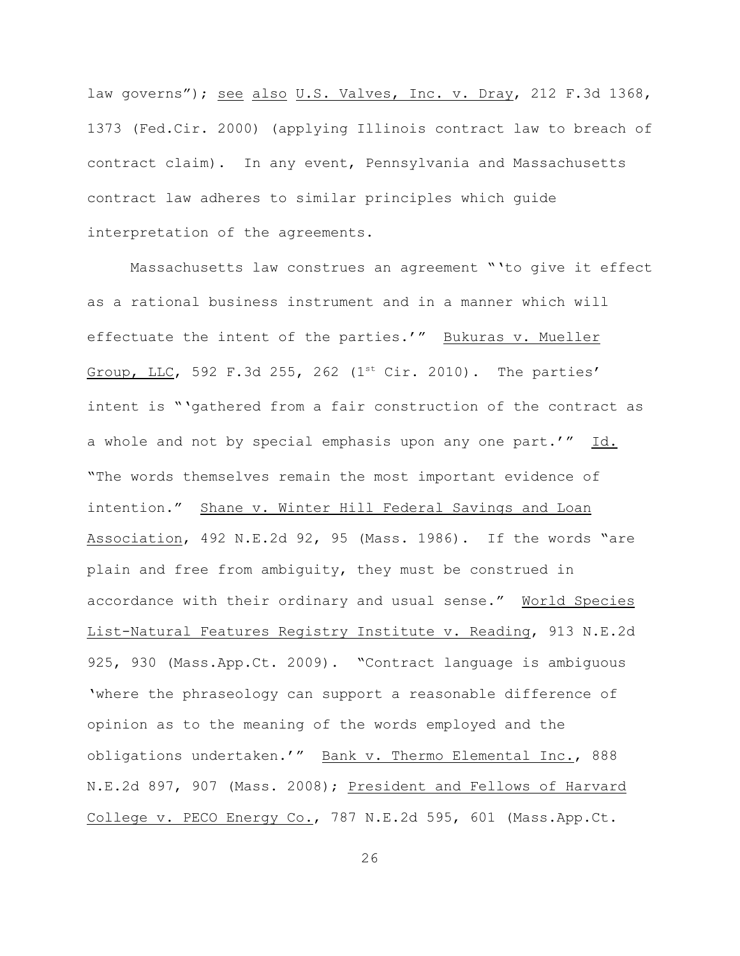law governs"); see also U.S. Valves, Inc. v. Dray, 212 F.3d 1368, 1373 (Fed.Cir. 2000) (applying Illinois contract law to breach of contract claim). In any event, Pennsylvania and Massachusetts contract law adheres to similar principles which guide interpretation of the agreements.

Massachusetts law construes an agreement "'to give it effect as a rational business instrument and in a manner which will effectuate the intent of the parties.'" Bukuras v. Mueller Group, LLC, 592 F.3d 255, 262 (1st Cir. 2010). The parties' intent is "'gathered from a fair construction of the contract as a whole and not by special emphasis upon any one part.'" Id. "The words themselves remain the most important evidence of intention." Shane v. Winter Hill Federal Savings and Loan Association, 492 N.E.2d 92, 95 (Mass. 1986). If the words "are plain and free from ambiguity, they must be construed in accordance with their ordinary and usual sense." World Species List-Natural Features Registry Institute v. Reading, 913 N.E.2d 925, 930 (Mass.App.Ct. 2009). "Contract language is ambiguous 'where the phraseology can support a reasonable difference of opinion as to the meaning of the words employed and the obligations undertaken.'" Bank v. Thermo Elemental Inc., 888 N.E.2d 897, 907 (Mass. 2008); President and Fellows of Harvard College v. PECO Energy Co., 787 N.E.2d 595, 601 (Mass.App.Ct.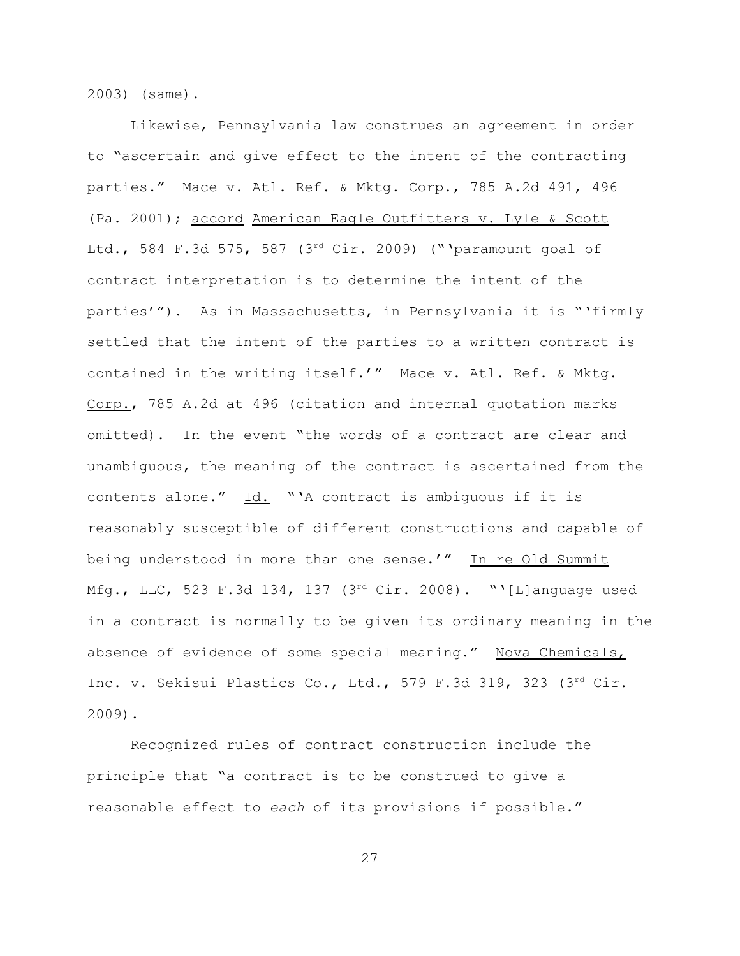2003) (same).

Likewise, Pennsylvania law construes an agreement in order to "ascertain and give effect to the intent of the contracting parties." Mace v. Atl. Ref. & Mktg. Corp., 785 A.2d 491, 496 (Pa. 2001); accord American Eagle Outfitters v. Lyle & Scott Ltd., 584 F.3d 575, 587 ( $3^{rd}$  Cir. 2009) ("'paramount goal of contract interpretation is to determine the intent of the parties'"). As in Massachusetts, in Pennsylvania it is "'firmly settled that the intent of the parties to a written contract is contained in the writing itself.'" Mace v. Atl. Ref. & Mktg. Corp., 785 A.2d at 496 (citation and internal quotation marks omitted). In the event "the words of a contract are clear and unambiguous, the meaning of the contract is ascertained from the contents alone."  $\underline{Id.}$  "'A contract is ambiguous if it is reasonably susceptible of different constructions and capable of being understood in more than one sense.'" In re Old Summit Mfg., LLC, 523 F.3d 134, 137 (3rd Cir. 2008). "'[L]anguage used in a contract is normally to be given its ordinary meaning in the absence of evidence of some special meaning." Nova Chemicals, Inc. v. Sekisui Plastics Co., Ltd., 579 F.3d 319, 323 (3rd Cir. 2009).

Recognized rules of contract construction include the principle that "a contract is to be construed to give a reasonable effect to *each* of its provisions if possible."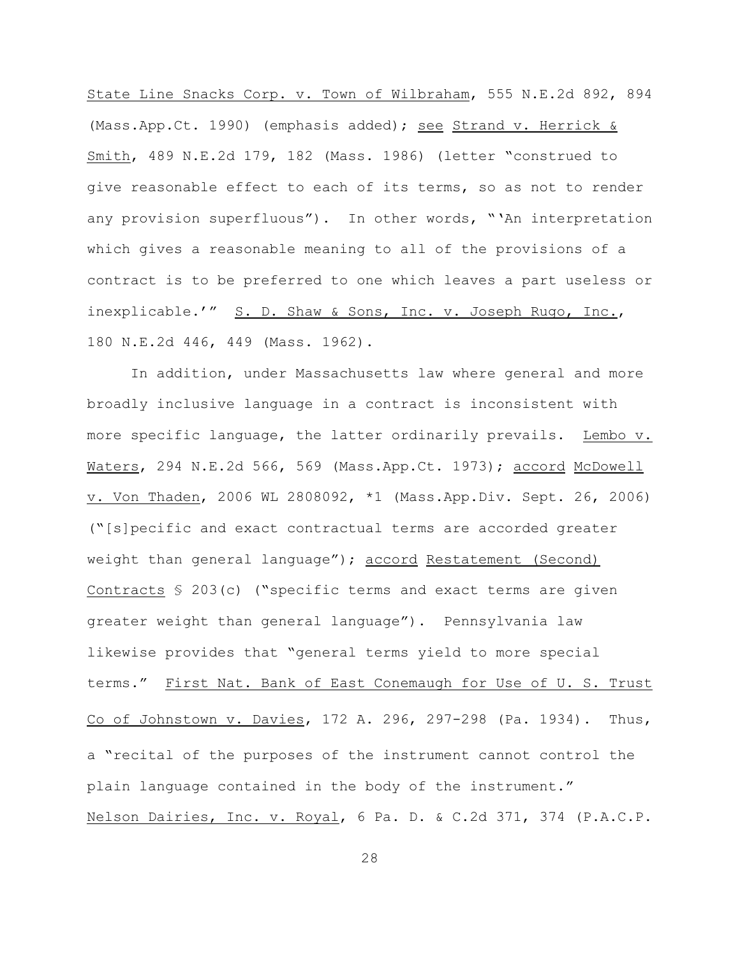State Line Snacks Corp. v. Town of Wilbraham, 555 N.E.2d 892, 894 (Mass.App.Ct. 1990) (emphasis added); see Strand v. Herrick & Smith, 489 N.E.2d 179, 182 (Mass. 1986) (letter "construed to give reasonable effect to each of its terms, so as not to render any provision superfluous"). In other words, "'An interpretation which gives a reasonable meaning to all of the provisions of a contract is to be preferred to one which leaves a part useless or inexplicable.'" S. D. Shaw & Sons, Inc. v. Joseph Rugo, Inc., 180 N.E.2d 446, 449 (Mass. 1962).

In addition, under Massachusetts law where general and more broadly inclusive language in a contract is inconsistent with more specific language, the latter ordinarily prevails. Lembo v. Waters, 294 N.E.2d 566, 569 (Mass.App.Ct. 1973); accord McDowell v. Von Thaden, 2006 WL 2808092, \*1 (Mass.App.Div. Sept. 26, 2006) ("[s]pecific and exact contractual terms are accorded greater weight than general language"); accord Restatement (Second) Contracts § 203(c) ("specific terms and exact terms are given greater weight than general language"). Pennsylvania law likewise provides that "general terms yield to more special terms." First Nat. Bank of East Conemaugh for Use of U. S. Trust Co of Johnstown v. Davies, 172 A. 296, 297-298 (Pa. 1934). Thus, a "recital of the purposes of the instrument cannot control the plain language contained in the body of the instrument." Nelson Dairies, Inc. v. Royal, 6 Pa. D. & C.2d 371, 374 (P.A.C.P.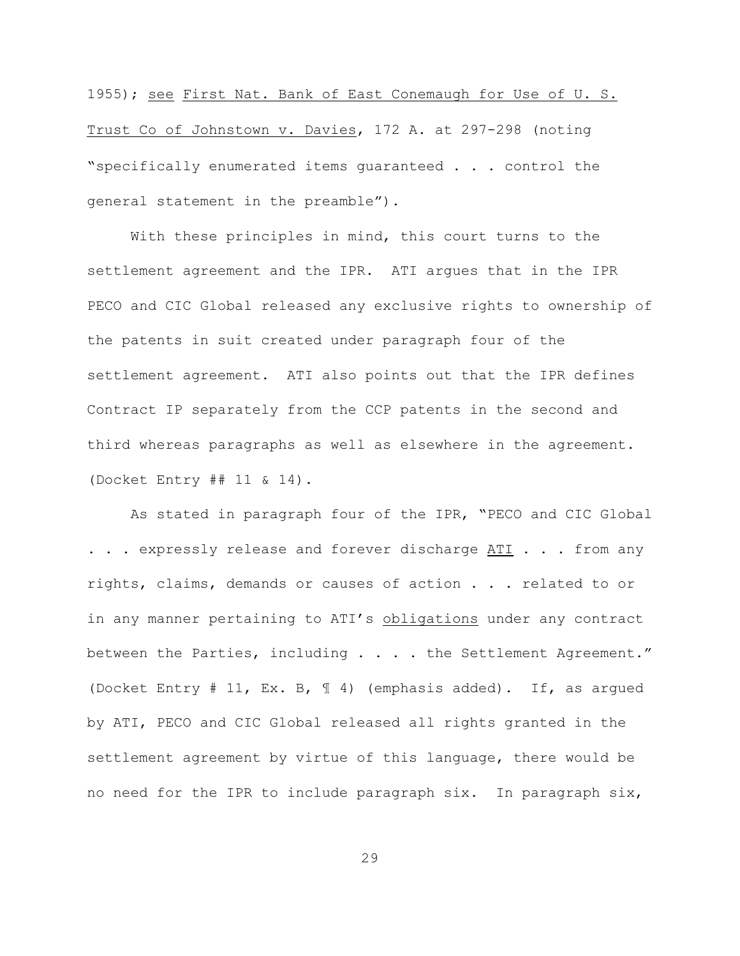1955); see First Nat. Bank of East Conemaugh for Use of U. S. Trust Co of Johnstown v. Davies, 172 A. at 297-298 (noting "specifically enumerated items guaranteed . . . control the general statement in the preamble").

With these principles in mind, this court turns to the settlement agreement and the IPR. ATI argues that in the IPR PECO and CIC Global released any exclusive rights to ownership of the patents in suit created under paragraph four of the settlement agreement. ATI also points out that the IPR defines Contract IP separately from the CCP patents in the second and third whereas paragraphs as well as elsewhere in the agreement. (Docket Entry ## 11 & 14).

As stated in paragraph four of the IPR, "PECO and CIC Global . . . expressly release and forever discharge ATI . . . from any rights, claims, demands or causes of action . . . related to or in any manner pertaining to ATI's obligations under any contract between the Parties, including . . . . the Settlement Agreement." (Docket Entry # 11, Ex. B, ¶ 4) (emphasis added). If, as argued by ATI, PECO and CIC Global released all rights granted in the settlement agreement by virtue of this language, there would be no need for the IPR to include paragraph six. In paragraph six,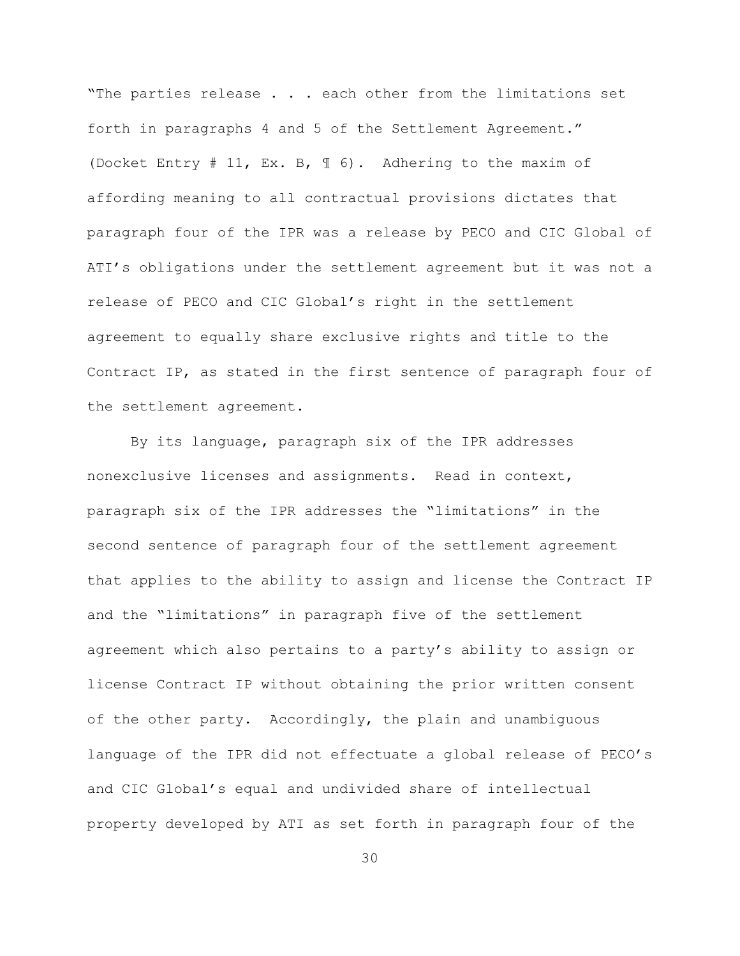"The parties release . . . each other from the limitations set forth in paragraphs 4 and 5 of the Settlement Agreement." (Docket Entry # 11, Ex. B, ¶ 6). Adhering to the maxim of affording meaning to all contractual provisions dictates that paragraph four of the IPR was a release by PECO and CIC Global of ATI's obligations under the settlement agreement but it was not a release of PECO and CIC Global's right in the settlement agreement to equally share exclusive rights and title to the Contract IP, as stated in the first sentence of paragraph four of the settlement agreement.

By its language, paragraph six of the IPR addresses nonexclusive licenses and assignments. Read in context, paragraph six of the IPR addresses the "limitations" in the second sentence of paragraph four of the settlement agreement that applies to the ability to assign and license the Contract IP and the "limitations" in paragraph five of the settlement agreement which also pertains to a party's ability to assign or license Contract IP without obtaining the prior written consent of the other party. Accordingly, the plain and unambiguous language of the IPR did not effectuate a global release of PECO's and CIC Global's equal and undivided share of intellectual property developed by ATI as set forth in paragraph four of the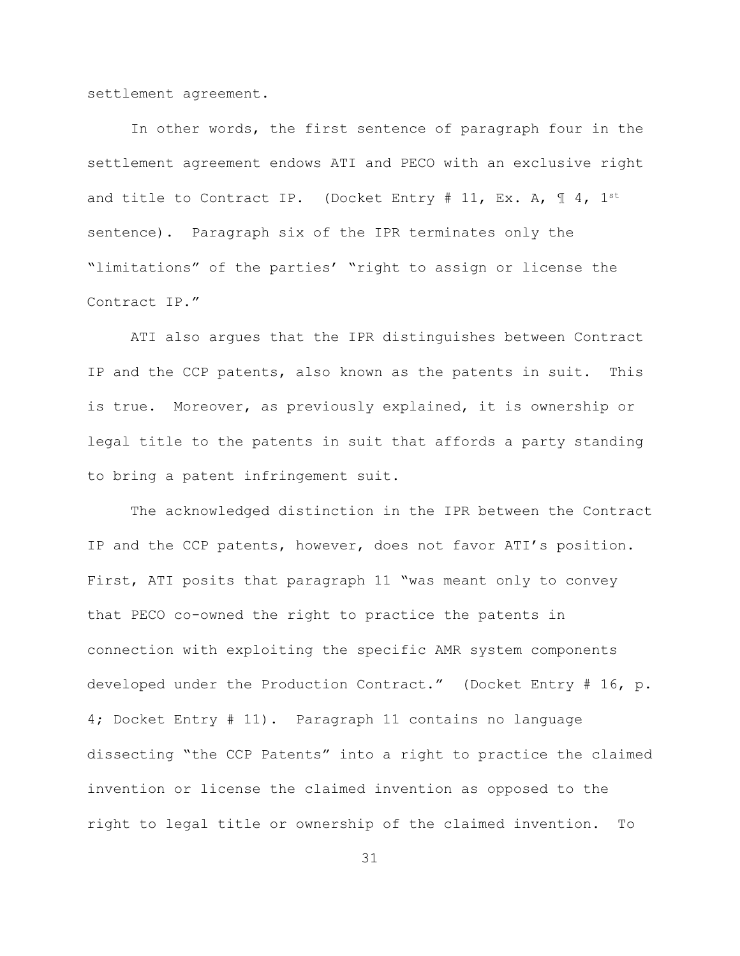settlement agreement.

In other words, the first sentence of paragraph four in the settlement agreement endows ATI and PECO with an exclusive right and title to Contract IP. (Docket Entry # 11, Ex. A,  $\mathbb{I}$  4, 1st sentence). Paragraph six of the IPR terminates only the "limitations" of the parties' "right to assign or license the Contract IP."

ATI also argues that the IPR distinguishes between Contract IP and the CCP patents, also known as the patents in suit. This is true. Moreover, as previously explained, it is ownership or legal title to the patents in suit that affords a party standing to bring a patent infringement suit.

The acknowledged distinction in the IPR between the Contract IP and the CCP patents, however, does not favor ATI's position. First, ATI posits that paragraph 11 "was meant only to convey that PECO co-owned the right to practice the patents in connection with exploiting the specific AMR system components developed under the Production Contract." (Docket Entry # 16, p. 4; Docket Entry # 11). Paragraph 11 contains no language dissecting "the CCP Patents" into a right to practice the claimed invention or license the claimed invention as opposed to the right to legal title or ownership of the claimed invention. To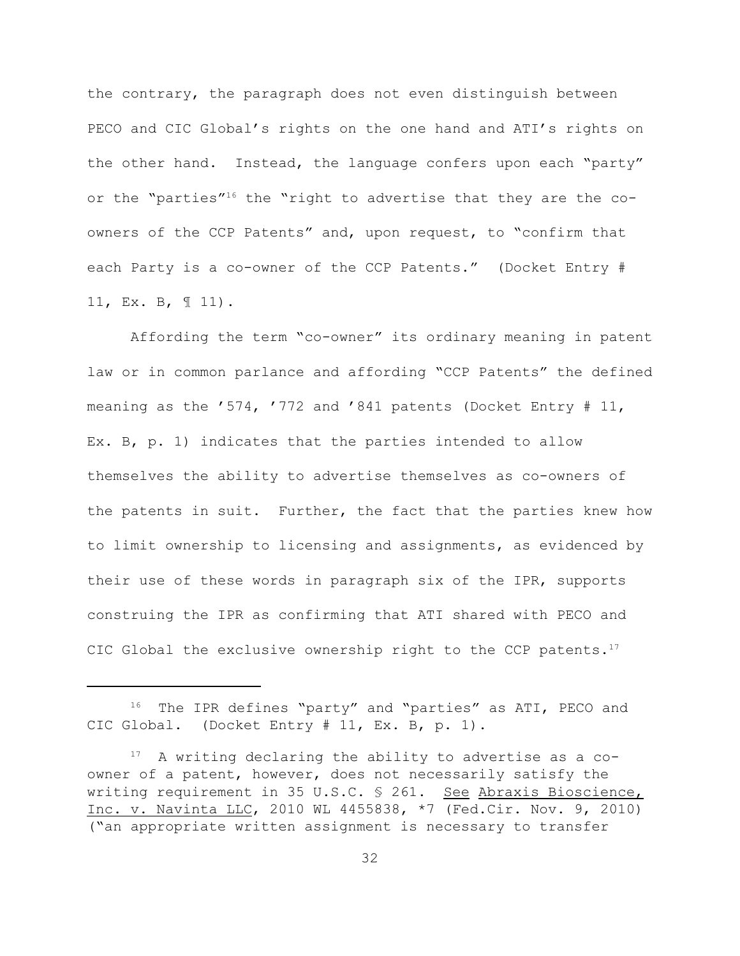the contrary, the paragraph does not even distinguish between PECO and CIC Global's rights on the one hand and ATI's rights on the other hand. Instead, the language confers upon each "party" or the "parties"<sup>16</sup> the "right to advertise that they are the  $co$ owners of the CCP Patents" and, upon request, to "confirm that each Party is a co-owner of the CCP Patents." (Docket Entry # 11, Ex. B, ¶ 11).

Affording the term "co-owner" its ordinary meaning in patent law or in common parlance and affording "CCP Patents" the defined meaning as the '574, '772 and '841 patents (Docket Entry # 11, Ex. B, p. 1) indicates that the parties intended to allow themselves the ability to advertise themselves as co-owners of the patents in suit. Further, the fact that the parties knew how to limit ownership to licensing and assignments, as evidenced by their use of these words in paragraph six of the IPR, supports construing the IPR as confirming that ATI shared with PECO and CIC Global the exclusive ownership right to the CCP patents.<sup>17</sup>

 $16$  The IPR defines "party" and "parties" as ATI, PECO and CIC Global. (Docket Entry # 11, Ex. B, p. 1).

 $17$  A writing declaring the ability to advertise as a coowner of a patent, however, does not necessarily satisfy the writing requirement in 35 U.S.C. § 261. See Abraxis Bioscience, Inc. v. Navinta LLC, 2010 WL 4455838, \*7 (Fed.Cir. Nov. 9, 2010) ("an appropriate written assignment is necessary to transfer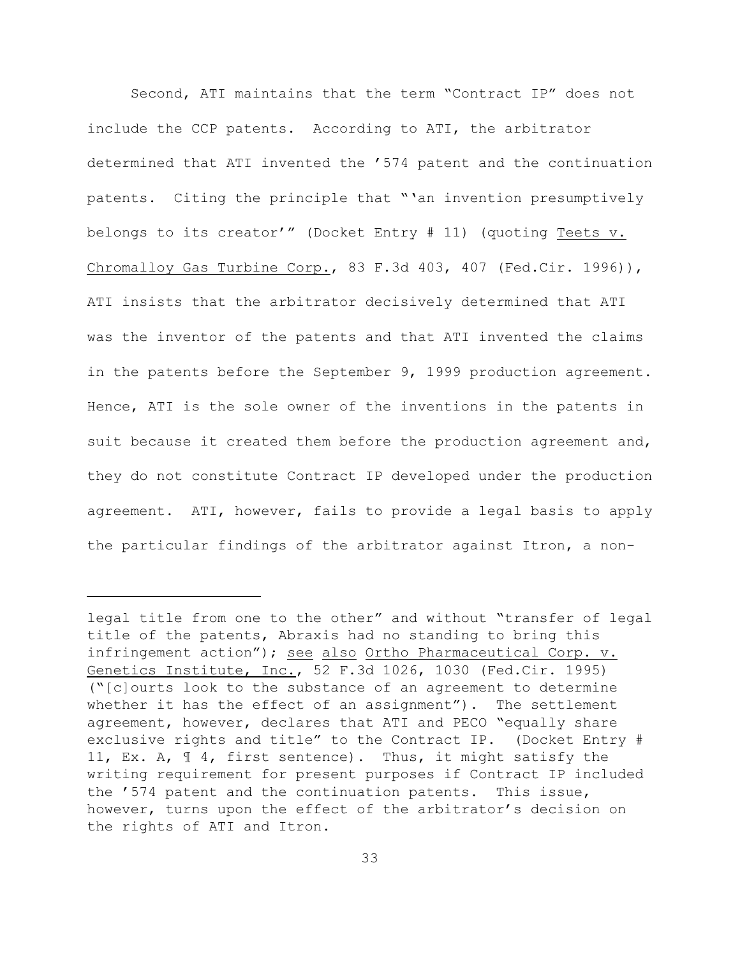Second, ATI maintains that the term "Contract IP" does not include the CCP patents. According to ATI, the arbitrator determined that ATI invented the '574 patent and the continuation patents. Citing the principle that "'an invention presumptively belongs to its creator'" (Docket Entry # 11) (quoting Teets v. Chromalloy Gas Turbine Corp., 83 F.3d 403, 407 (Fed.Cir. 1996)), ATI insists that the arbitrator decisively determined that ATI was the inventor of the patents and that ATI invented the claims in the patents before the September 9, 1999 production agreement. Hence, ATI is the sole owner of the inventions in the patents in suit because it created them before the production agreement and, they do not constitute Contract IP developed under the production agreement. ATI, however, fails to provide a legal basis to apply the particular findings of the arbitrator against Itron, a non-

legal title from one to the other" and without "transfer of legal title of the patents, Abraxis had no standing to bring this infringement action"); see also Ortho Pharmaceutical Corp. v. Genetics Institute, Inc., 52 F.3d 1026, 1030 (Fed.Cir. 1995) ("[c]ourts look to the substance of an agreement to determine whether it has the effect of an assignment"). The settlement agreement, however, declares that ATI and PECO "equally share exclusive rights and title" to the Contract IP. (Docket Entry # 11, Ex. A, ¶ 4, first sentence). Thus, it might satisfy the writing requirement for present purposes if Contract IP included the '574 patent and the continuation patents. This issue, however, turns upon the effect of the arbitrator's decision on the rights of ATI and Itron.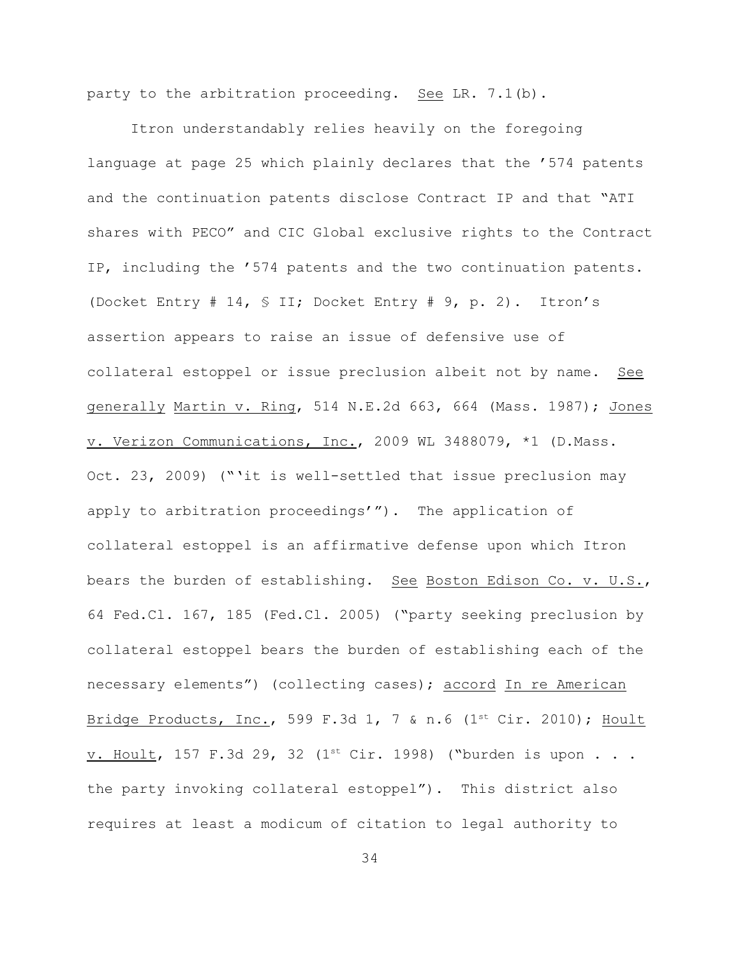party to the arbitration proceeding. See LR. 7.1(b).

Itron understandably relies heavily on the foregoing language at page 25 which plainly declares that the '574 patents and the continuation patents disclose Contract IP and that "ATI shares with PECO" and CIC Global exclusive rights to the Contract IP, including the '574 patents and the two continuation patents. (Docket Entry # 14, § II; Docket Entry # 9, p. 2). Itron's assertion appears to raise an issue of defensive use of collateral estoppel or issue preclusion albeit not by name. See generally Martin v. Ring, 514 N.E.2d 663, 664 (Mass. 1987); Jones v. Verizon Communications, Inc., 2009 WL 3488079, \*1 (D.Mass. Oct. 23, 2009) ("'it is well-settled that issue preclusion may apply to arbitration proceedings'"). The application of collateral estoppel is an affirmative defense upon which Itron bears the burden of establishing. See Boston Edison Co. v. U.S., 64 Fed.Cl. 167, 185 (Fed.Cl. 2005) ("party seeking preclusion by collateral estoppel bears the burden of establishing each of the necessary elements") (collecting cases); accord In re American Bridge Products, Inc., 599 F.3d 1, 7 & n.6 (1st Cir. 2010); Hoult v. Hoult, 157 F.3d 29, 32 (1st Cir. 1998) ("burden is upon . . . the party invoking collateral estoppel"). This district also requires at least a modicum of citation to legal authority to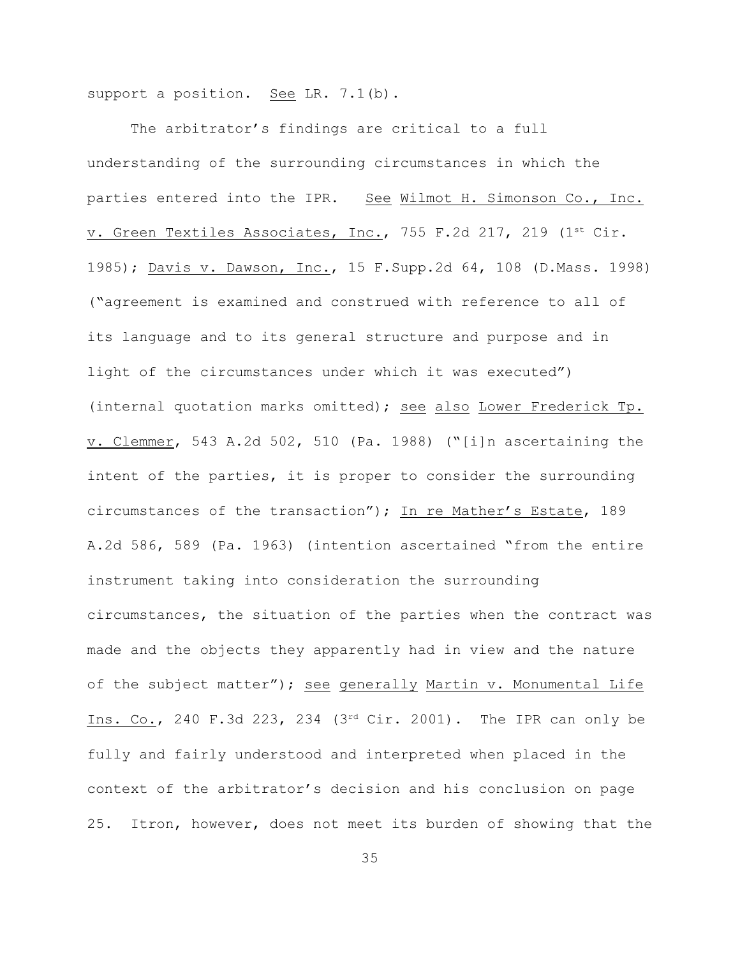support a position. See LR. 7.1(b).

The arbitrator's findings are critical to a full understanding of the surrounding circumstances in which the parties entered into the IPR. See Wilmot H. Simonson Co., Inc. v. Green Textiles Associates, Inc., 755 F.2d 217, 219 (1st Cir. 1985); Davis v. Dawson, Inc., 15 F.Supp.2d 64, 108 (D.Mass. 1998) ("agreement is examined and construed with reference to all of its language and to its general structure and purpose and in light of the circumstances under which it was executed") (internal quotation marks omitted); see also Lower Frederick Tp. v. Clemmer, 543 A.2d 502, 510 (Pa. 1988) ("[i]n ascertaining the intent of the parties, it is proper to consider the surrounding circumstances of the transaction"); In re Mather's Estate, 189 A.2d 586, 589 (Pa. 1963) (intention ascertained "from the entire instrument taking into consideration the surrounding circumstances, the situation of the parties when the contract was made and the objects they apparently had in view and the nature of the subject matter"); see generally Martin v. Monumental Life Ins. Co., 240 F.3d 223, 234 ( $3<sup>rd</sup>$  Cir. 2001). The IPR can only be fully and fairly understood and interpreted when placed in the context of the arbitrator's decision and his conclusion on page 25. Itron, however, does not meet its burden of showing that the